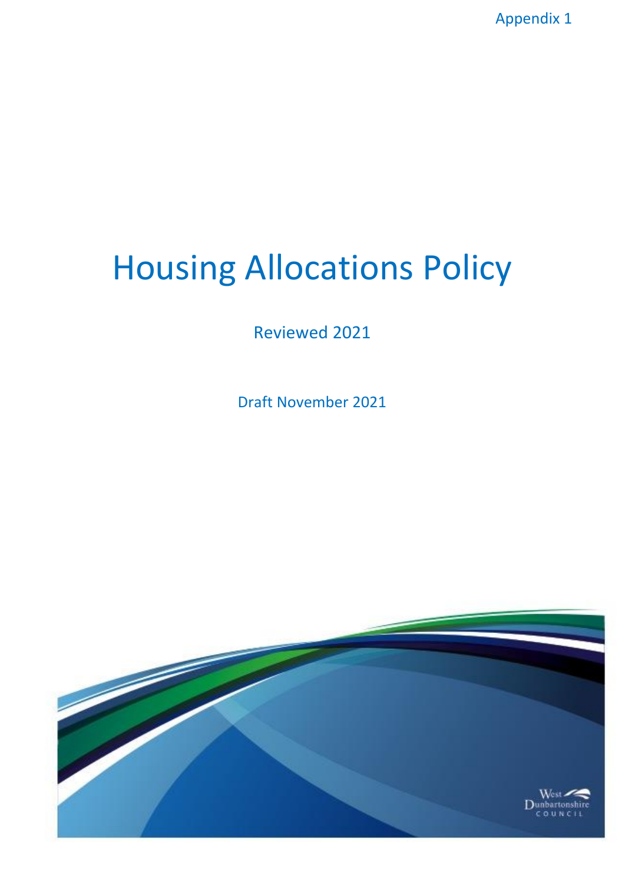Appendix 1

# Housing Allocations Policy

Reviewed 2021

Draft November 2021

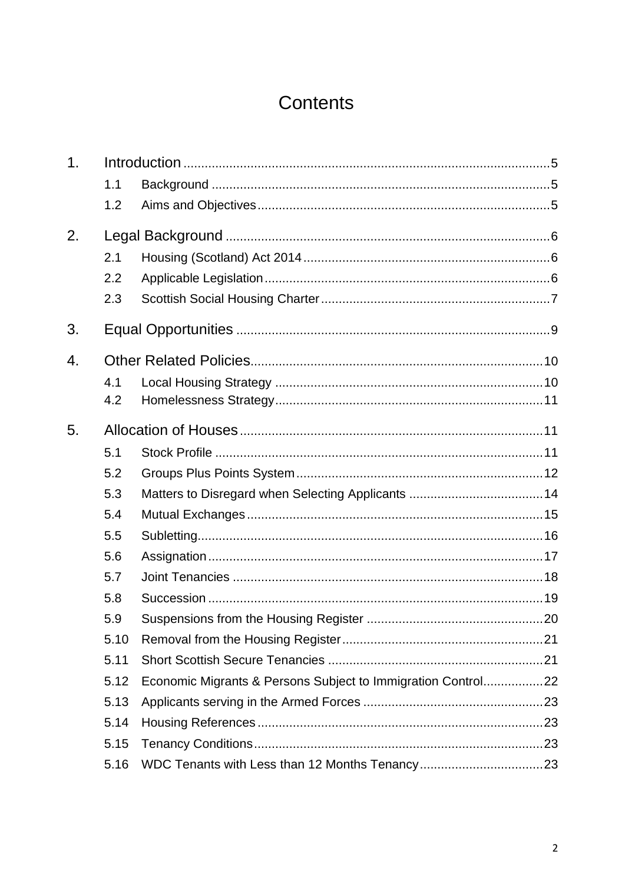# Contents

| 1. |      |                                                              |  |
|----|------|--------------------------------------------------------------|--|
|    | 1.1  |                                                              |  |
|    | 1.2  |                                                              |  |
| 2. |      |                                                              |  |
|    | 2.1  |                                                              |  |
|    | 2.2  |                                                              |  |
|    | 2.3  |                                                              |  |
| 3. |      |                                                              |  |
| 4. |      |                                                              |  |
|    | 4.1  |                                                              |  |
|    | 4.2  |                                                              |  |
| 5. |      |                                                              |  |
|    | 5.1  |                                                              |  |
|    | 5.2  |                                                              |  |
|    | 5.3  |                                                              |  |
|    | 5.4  |                                                              |  |
|    | 5.5  |                                                              |  |
|    | 5.6  |                                                              |  |
|    | 5.7  |                                                              |  |
|    | 5.8  |                                                              |  |
|    | 5.9  |                                                              |  |
|    | 5.10 |                                                              |  |
|    | 5.11 |                                                              |  |
|    | 5.12 | Economic Migrants & Persons Subject to Immigration Control22 |  |
|    | 5.13 |                                                              |  |
|    | 5.14 |                                                              |  |
|    | 5.15 |                                                              |  |
|    | 5.16 |                                                              |  |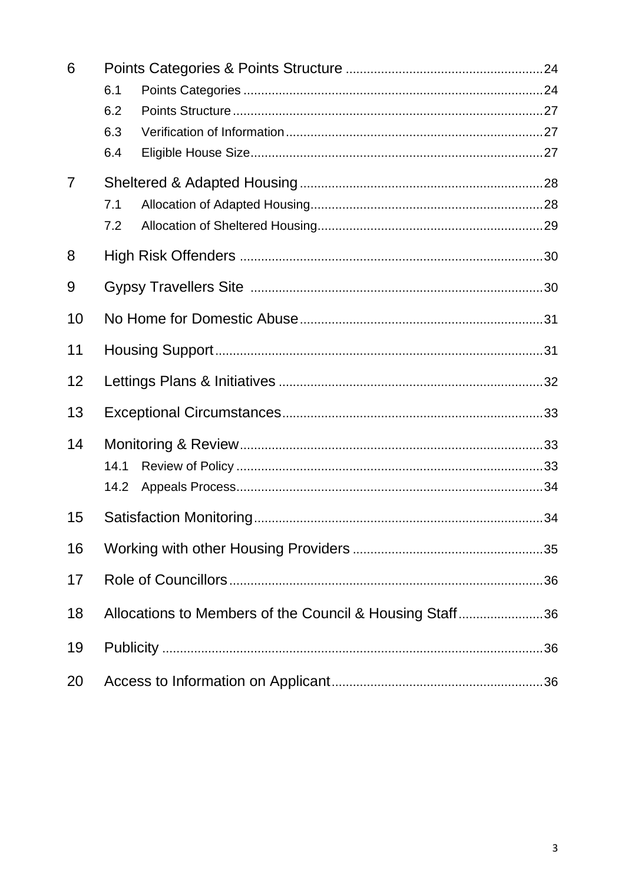| 6  |                                                         |  |  |
|----|---------------------------------------------------------|--|--|
|    | 6.1                                                     |  |  |
|    | 6.2                                                     |  |  |
|    | 6.3                                                     |  |  |
|    | 6.4                                                     |  |  |
| 7  |                                                         |  |  |
|    | 7.1                                                     |  |  |
|    | 7.2                                                     |  |  |
| 8  |                                                         |  |  |
| 9  |                                                         |  |  |
| 10 |                                                         |  |  |
| 11 |                                                         |  |  |
| 12 |                                                         |  |  |
| 13 |                                                         |  |  |
| 14 |                                                         |  |  |
|    | 14.1                                                    |  |  |
|    | 14.2                                                    |  |  |
| 15 |                                                         |  |  |
| 16 |                                                         |  |  |
| 17 |                                                         |  |  |
| 18 | Allocations to Members of the Council & Housing Staff36 |  |  |
| 19 |                                                         |  |  |
| 20 |                                                         |  |  |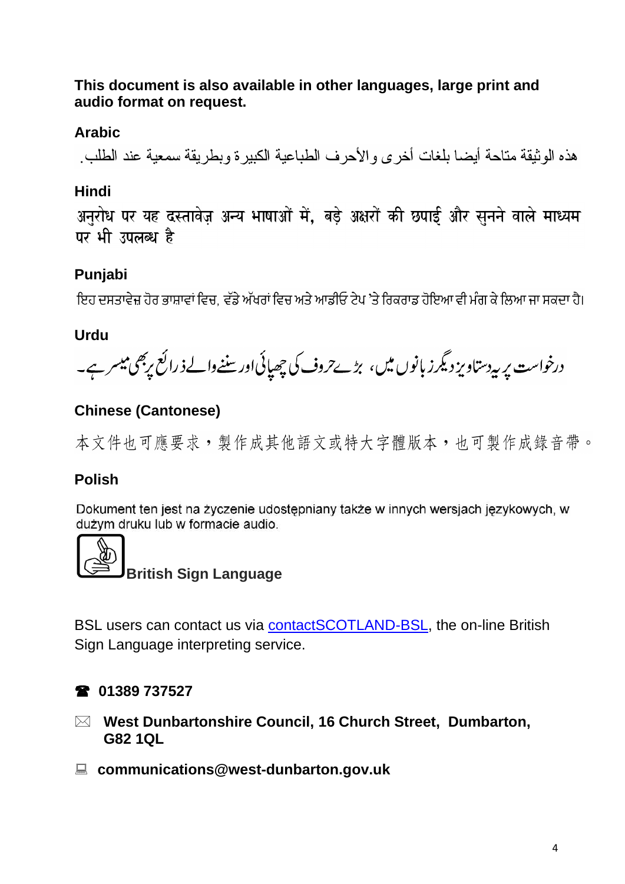# **This document is also available in other languages, large print and audio format on request.**

# **Arabic**

هذه الوثيقة متاحة أيضا بلغات أخرىء الأحرف الطباعية الكبير ة ويطريقة سمعية عند الطلب

# **Hindi**

अनुरोध पर यह दस्तावेज़ अन्य भाषाओं में, बड़े अक्षरों की छपाई और सुनने वाले माध्यम पर भी उपलब्ध है

# **Punjabi**

ਇਹ ਦਸਤਾਵੇਜ਼ ਹੋਰ ਭਾਸ਼ਾਵਾਂ ਵਿਚ. ਵੱਡੇ ਅੱਖਰਾਂ ਵਿਚ ਅਤੇ ਆਡੀਓ ਟੇਪ 'ਤੇ ਰਿਕਰਾਡ ਹੋਇਆ ਵੀ ਮੰਗ ਕੇ ਲਿਆ ਜਾ ਸਕਦਾ ਹੈ।

# **Urdu**

درخواست پر بی<sub>د</sub>رستاویز دیگر زبانوں میں، بڑے حروف کی چھپائی اور سننےوالے ذ رائع پربھی میسر ہے۔

# **Chinese (Cantonese)**

本文件也可應要求,製作成其他語文或特大字體版本,也可製作成錄音帶。

# **Polish**

Dokument ten jest na życzenie udostępniany także w innych wersjach językowych, w dużym druku lub w formacie audio.



# **British Sign Language**

BSL users can contact us via [contactSCOTLAND-BSL,](http://contactscotland-bsl.org/) the on-line British Sign Language interpreting service.

# **01389 737527**

- **West Dunbartonshire Council, 16 Church Street, Dumbarton, G82 1QL**
- **communications@west-dunbarton.gov.uk**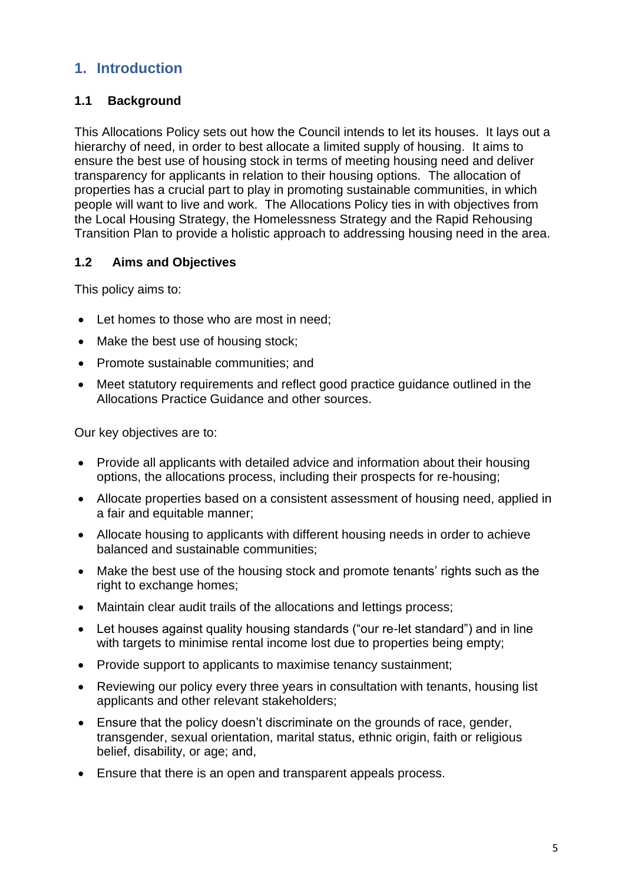# **1. Introduction**

# **1.1 Background**

This Allocations Policy sets out how the Council intends to let its houses. It lays out a hierarchy of need, in order to best allocate a limited supply of housing. It aims to ensure the best use of housing stock in terms of meeting housing need and deliver transparency for applicants in relation to their housing options. The allocation of properties has a crucial part to play in promoting sustainable communities, in which people will want to live and work. The Allocations Policy ties in with objectives from the Local Housing Strategy, the Homelessness Strategy and the Rapid Rehousing Transition Plan to provide a holistic approach to addressing housing need in the area.

#### **1.2 Aims and Objectives**

This policy aims to:

- Let homes to those who are most in need:
- Make the best use of housing stock;
- Promote sustainable communities; and
- Meet statutory requirements and reflect good practice guidance outlined in the Allocations Practice Guidance and other sources.

Our key objectives are to:

- Provide all applicants with detailed advice and information about their housing options, the allocations process, including their prospects for re-housing;
- Allocate properties based on a consistent assessment of housing need, applied in a fair and equitable manner:
- Allocate housing to applicants with different housing needs in order to achieve balanced and sustainable communities;
- Make the best use of the housing stock and promote tenants' rights such as the right to exchange homes:
- Maintain clear audit trails of the allocations and lettings process;
- Let houses against quality housing standards ("our re-let standard") and in line with targets to minimise rental income lost due to properties being empty;
- Provide support to applicants to maximise tenancy sustainment;
- Reviewing our policy every three years in consultation with tenants, housing list applicants and other relevant stakeholders;
- Ensure that the policy doesn't discriminate on the grounds of race, gender, transgender, sexual orientation, marital status, ethnic origin, faith or religious belief, disability, or age; and,
- Ensure that there is an open and transparent appeals process.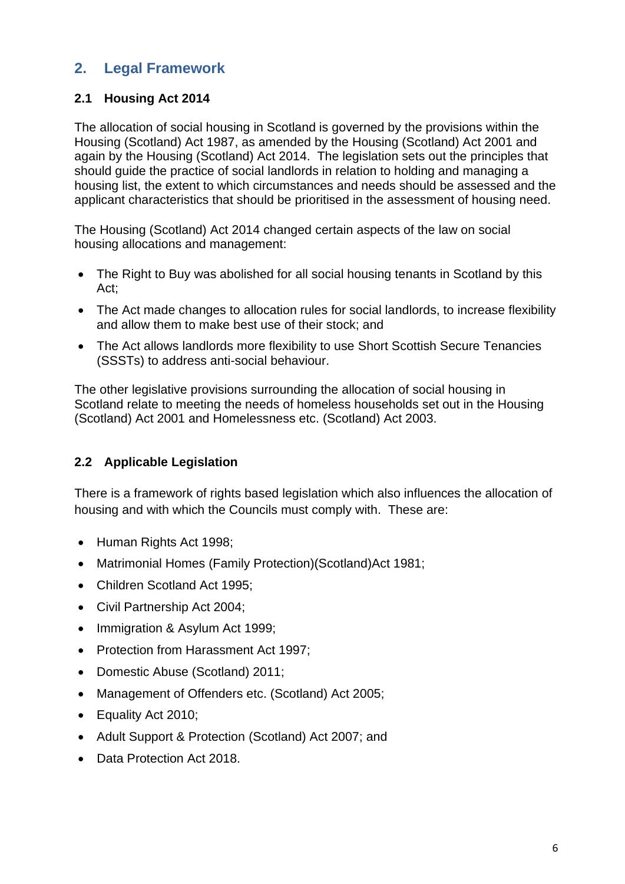# **2. Legal Framework**

# **2.1 Housing Act 2014**

The allocation of social housing in Scotland is governed by the provisions within the Housing (Scotland) Act 1987, as amended by the Housing (Scotland) Act 2001 and again by the Housing (Scotland) Act 2014. The legislation sets out the principles that should guide the practice of social landlords in relation to holding and managing a housing list, the extent to which circumstances and needs should be assessed and the applicant characteristics that should be prioritised in the assessment of housing need.

The Housing (Scotland) Act 2014 changed certain aspects of the law on social housing allocations and management:

- The Right to Buy was abolished for all social housing tenants in Scotland by this Act;
- The Act made changes to allocation rules for social landlords, to increase flexibility and allow them to make best use of their stock; and
- The Act allows landlords more flexibility to use Short Scottish Secure Tenancies (SSSTs) to address anti-social behaviour.

The other legislative provisions surrounding the allocation of social housing in Scotland relate to meeting the needs of homeless households set out in the Housing (Scotland) Act 2001 and Homelessness etc. (Scotland) Act 2003.

# **2.2 Applicable Legislation**

There is a framework of rights based legislation which also influences the allocation of housing and with which the Councils must comply with. These are:

- Human Rights Act 1998;
- Matrimonial Homes (Family Protection)(Scotland)Act 1981;
- Children Scotland Act 1995;
- Civil Partnership Act 2004;
- Immigration & Asylum Act 1999;
- Protection from Harassment Act 1997:
- Domestic Abuse (Scotland) 2011;
- Management of Offenders etc. (Scotland) Act 2005;
- Equality Act 2010;
- Adult Support & Protection (Scotland) Act 2007; and
- Data Protection Act 2018.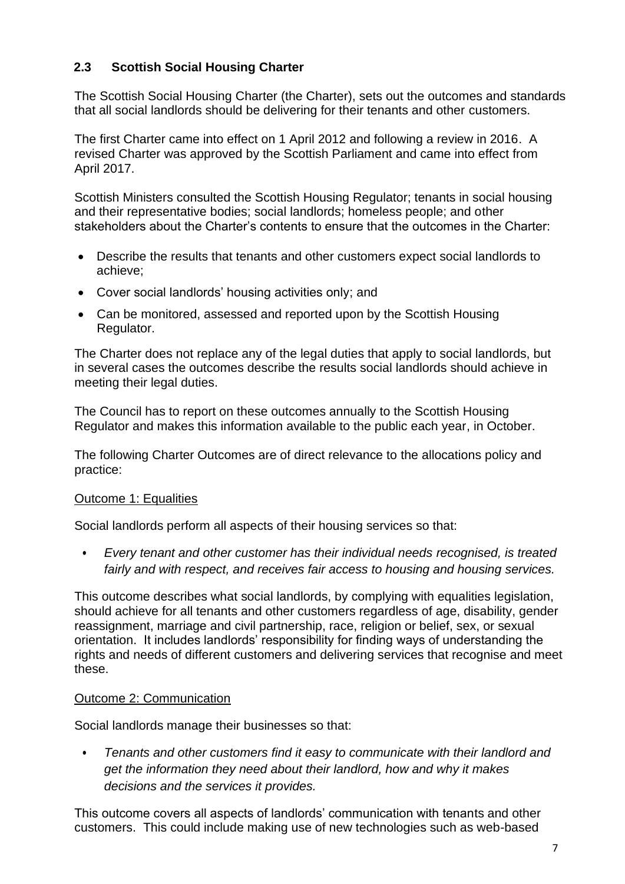#### **2.3 Scottish Social Housing Charter**

The Scottish Social Housing Charter (the Charter), sets out the outcomes and standards that all social landlords should be delivering for their tenants and other customers.

The first Charter came into effect on 1 April 2012 and following a review in 2016. A revised Charter was approved by the Scottish Parliament and came into effect from April 2017.

Scottish Ministers consulted the Scottish Housing Regulator; tenants in social housing and their representative bodies; social landlords; homeless people; and other stakeholders about the Charter's contents to ensure that the outcomes in the Charter:

- Describe the results that tenants and other customers expect social landlords to achieve;
- Cover social landlords' housing activities only; and
- Can be monitored, assessed and reported upon by the Scottish Housing Regulator.

The Charter does not replace any of the legal duties that apply to social landlords, but in several cases the outcomes describe the results social landlords should achieve in meeting their legal duties.

The Council has to report on these outcomes annually to the Scottish Housing Regulator and makes this information available to the public each year, in October.

The following Charter Outcomes are of direct relevance to the allocations policy and practice:

#### Outcome 1: Equalities

Social landlords perform all aspects of their housing services so that:

• *Every tenant and other customer has their individual needs recognised, is treated fairly and with respect, and receives fair access to housing and housing services.*

This outcome describes what social landlords, by complying with equalities legislation, should achieve for all tenants and other customers regardless of age, disability, gender reassignment, marriage and civil partnership, race, religion or belief, sex, or sexual orientation. It includes landlords' responsibility for finding ways of understanding the rights and needs of different customers and delivering services that recognise and meet these.

#### Outcome 2: Communication

Social landlords manage their businesses so that:

• *Tenants and other customers find it easy to communicate with their landlord and get the information they need about their landlord, how and why it makes decisions and the services it provides.*

This outcome covers all aspects of landlords' communication with tenants and other customers. This could include making use of new technologies such as web-based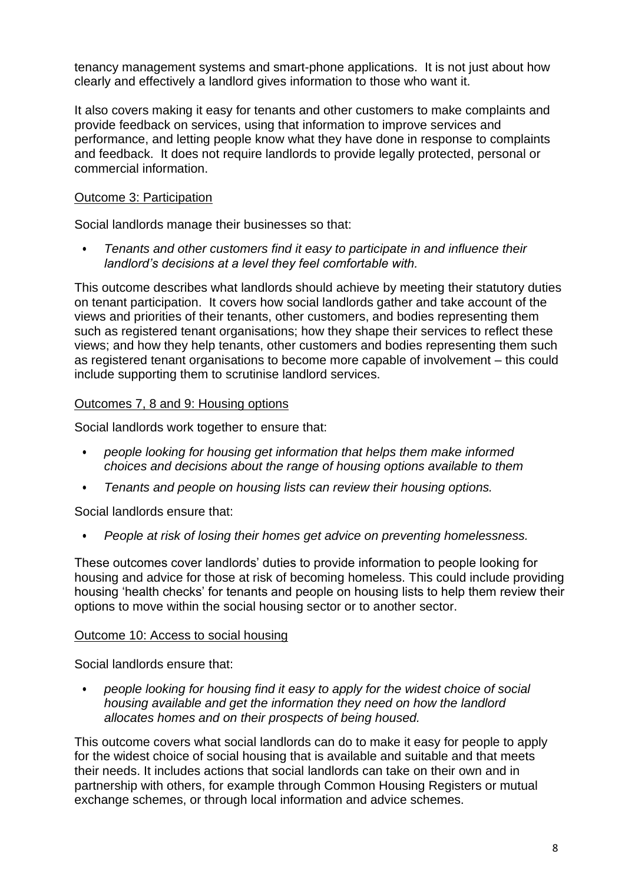tenancy management systems and smart-phone applications. It is not just about how clearly and effectively a landlord gives information to those who want it.

It also covers making it easy for tenants and other customers to make complaints and provide feedback on services, using that information to improve services and performance, and letting people know what they have done in response to complaints and feedback. It does not require landlords to provide legally protected, personal or commercial information.

## Outcome 3: Participation

Social landlords manage their businesses so that:

• *Tenants and other customers find it easy to participate in and influence their landlord's decisions at a level they feel comfortable with.*

This outcome describes what landlords should achieve by meeting their statutory duties on tenant participation. It covers how social landlords gather and take account of the views and priorities of their tenants, other customers, and bodies representing them such as registered tenant organisations; how they shape their services to reflect these views; and how they help tenants, other customers and bodies representing them such as registered tenant organisations to become more capable of involvement – this could include supporting them to scrutinise landlord services.

## Outcomes 7, 8 and 9: Housing options

Social landlords work together to ensure that:

- *people looking for housing get information that helps them make informed choices and decisions about the range of housing options available to them*
- *Tenants and people on housing lists can review their housing options.*

Social landlords ensure that:

• *People at risk of losing their homes get advice on preventing homelessness.*

These outcomes cover landlords' duties to provide information to people looking for housing and advice for those at risk of becoming homeless. This could include providing housing 'health checks' for tenants and people on housing lists to help them review their options to move within the social housing sector or to another sector.

#### Outcome 10: Access to social housing

Social landlords ensure that:

• *people looking for housing find it easy to apply for the widest choice of social housing available and get the information they need on how the landlord allocates homes and on their prospects of being housed.*

This outcome covers what social landlords can do to make it easy for people to apply for the widest choice of social housing that is available and suitable and that meets their needs. It includes actions that social landlords can take on their own and in partnership with others, for example through Common Housing Registers or mutual exchange schemes, or through local information and advice schemes.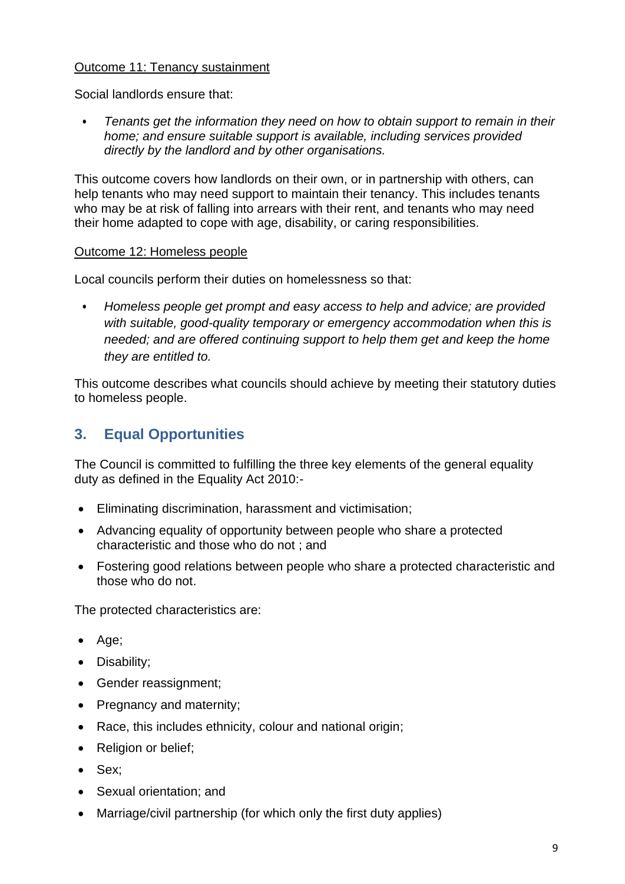#### Outcome 11: Tenancy sustainment

Social landlords ensure that:

• *Tenants get the information they need on how to obtain support to remain in their home; and ensure suitable support is available, including services provided directly by the landlord and by other organisations.*

This outcome covers how landlords on their own, or in partnership with others, can help tenants who may need support to maintain their tenancy. This includes tenants who may be at risk of falling into arrears with their rent, and tenants who may need their home adapted to cope with age, disability, or caring responsibilities.

#### Outcome 12: Homeless people

Local councils perform their duties on homelessness so that:

• *Homeless people get prompt and easy access to help and advice; are provided*  with suitable, good-quality temporary or emergency accommodation when this is *needed; and are offered continuing support to help them get and keep the home they are entitled to.*

This outcome describes what councils should achieve by meeting their statutory duties to homeless people.

# **3. Equal Opportunities**

The Council is committed to fulfilling the three key elements of the general equality duty as defined in the Equality Act 2010:-

- Eliminating discrimination, harassment and victimisation;
- Advancing equality of opportunity between people who share a protected characteristic and those who do not ; and
- Fostering good relations between people who share a protected characteristic and those who do not.

The protected characteristics are:

- Age;
- Disability;
- Gender reassignment;
- Pregnancy and maternity;
- Race, this includes ethnicity, colour and national origin;
- Religion or belief;
- Sex;
- Sexual orientation; and
- Marriage/civil partnership (for which only the first duty applies)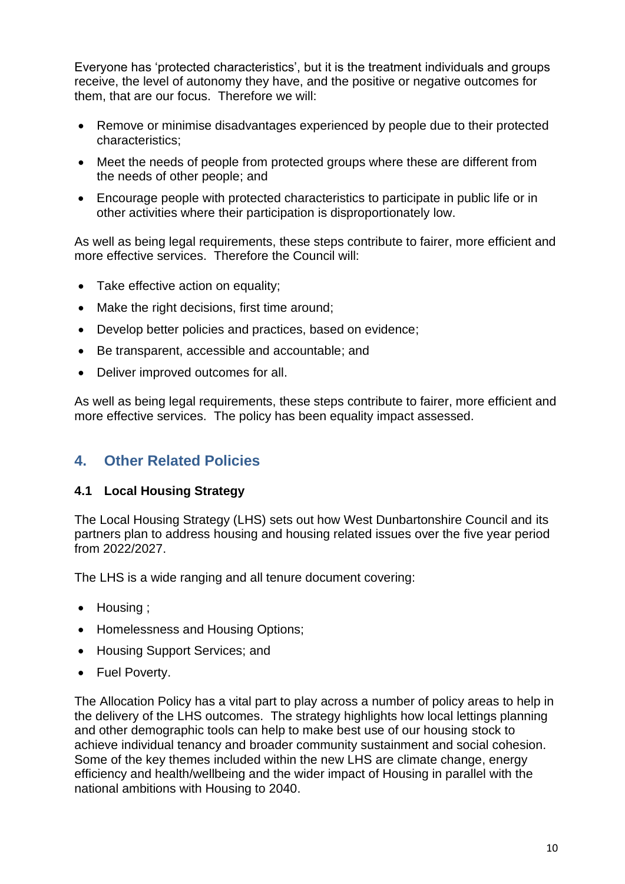Everyone has 'protected characteristics', but it is the treatment individuals and groups receive, the level of autonomy they have, and the positive or negative outcomes for them, that are our focus. Therefore we will:

- Remove or minimise disadvantages experienced by people due to their protected characteristics;
- Meet the needs of people from protected groups where these are different from the needs of other people; and
- Encourage people with protected characteristics to participate in public life or in other activities where their participation is disproportionately low.

As well as being legal requirements, these steps contribute to fairer, more efficient and more effective services. Therefore the Council will:

- Take effective action on equality;
- Make the right decisions, first time around;
- Develop better policies and practices, based on evidence;
- Be transparent, accessible and accountable; and
- Deliver improved outcomes for all.

As well as being legal requirements, these steps contribute to fairer, more efficient and more effective services. The policy has been equality impact assessed.

# **4. Other Related Policies**

#### **4.1 Local Housing Strategy**

The Local Housing Strategy (LHS) sets out how West Dunbartonshire Council and its partners plan to address housing and housing related issues over the five year period from 2022/2027.

The LHS is a wide ranging and all tenure document covering:

- Housing ;
- Homelessness and Housing Options;
- Housing Support Services: and
- Fuel Poverty.

The Allocation Policy has a vital part to play across a number of policy areas to help in the delivery of the LHS outcomes. The strategy highlights how local lettings planning and other demographic tools can help to make best use of our housing stock to achieve individual tenancy and broader community sustainment and social cohesion. Some of the key themes included within the new LHS are climate change, energy efficiency and health/wellbeing and the wider impact of Housing in parallel with the national ambitions with Housing to 2040.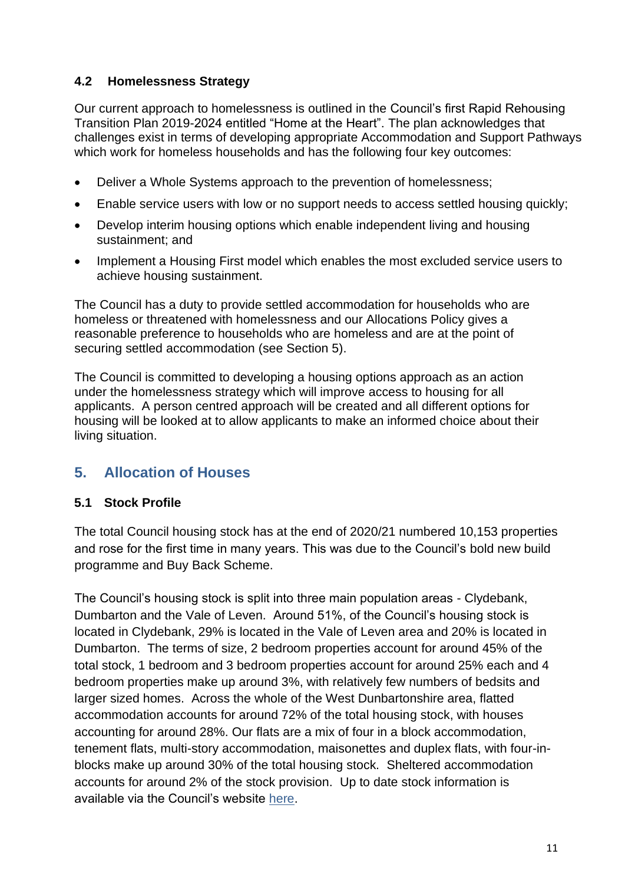## **4.2 Homelessness Strategy**

Our current approach to homelessness is outlined in the Council's first Rapid Rehousing Transition Plan 2019-2024 entitled "Home at the Heart". The plan acknowledges that challenges exist in terms of developing appropriate Accommodation and Support Pathways which work for homeless households and has the following four key outcomes:

- Deliver a Whole Systems approach to the prevention of homelessness;
- Enable service users with low or no support needs to access settled housing quickly;
- Develop interim housing options which enable independent living and housing sustainment; and
- Implement a Housing First model which enables the most excluded service users to achieve housing sustainment.

The Council has a duty to provide settled accommodation for households who are homeless or threatened with homelessness and our Allocations Policy gives a reasonable preference to households who are homeless and are at the point of securing settled accommodation (see Section 5).

The Council is committed to developing a housing options approach as an action under the homelessness strategy which will improve access to housing for all applicants. A person centred approach will be created and all different options for housing will be looked at to allow applicants to make an informed choice about their living situation.

# **5. Allocation of Houses**

#### **5.1 Stock Profile**

The total Council housing stock has at the end of 2020/21 numbered 10,153 properties and rose for the first time in many years. This was due to the Council's bold new build programme and Buy Back Scheme.

The Council's housing stock is split into three main population areas - Clydebank, Dumbarton and the Vale of Leven. Around 51%, of the Council's housing stock is located in Clydebank, 29% is located in the Vale of Leven area and 20% is located in Dumbarton.The terms of size, 2 bedroom properties account for around 45% of the total stock, 1 bedroom and 3 bedroom properties account for around 25% each and 4 bedroom properties make up around 3%, with relatively few numbers of bedsits and larger sized homes.Across the whole of the West Dunbartonshire area, flatted accommodation accounts for around 72% of the total housing stock, with houses accounting for around 28%. Our flats are a mix of four in a block accommodation, tenement flats, multi-story accommodation, maisonettes and duplex flats, with four-inblocks make up around 30% of the total housing stock.Sheltered accommodation accounts for around 2% of the stock provision.Up to date stock information is available via the Council's website [here.](https://www.west-dunbarton.gov.uk/housing/council-housing/tenancy-and-allocations/housing-applications/)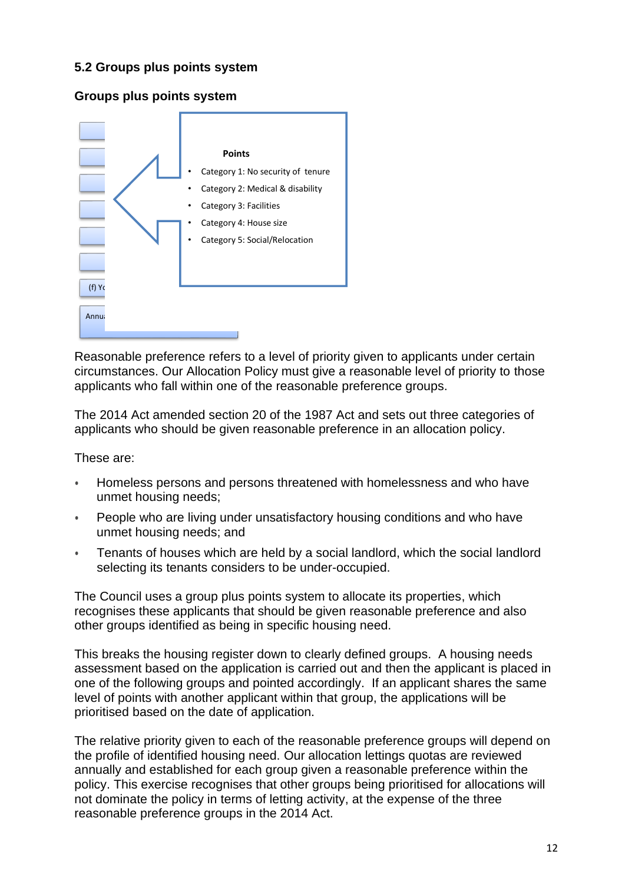#### **5.2 Groups plus points system**

#### **Groups plus points system**



Reasonable preference refers to a level of priority given to applicants under certain circumstances. Our Allocation Policy must give a reasonable level of priority to those applicants who fall within one of the reasonable preference groups.

The 2014 Act amended section 20 of the 1987 Act and sets out three categories of applicants who should be given reasonable preference in an allocation policy.

These are:

- Homeless persons and persons threatened with homelessness and who have unmet housing needs;
- People who are living under unsatisfactory housing conditions and who have unmet housing needs; and
- Tenants of houses which are held by a social landlord, which the social landlord selecting its tenants considers to be under-occupied.

The Council uses a group plus points system to allocate its properties, which recognises these applicants that should be given reasonable preference and also other groups identified as being in specific housing need.

This breaks the housing register down to clearly defined groups. A housing needs assessment based on the application is carried out and then the applicant is placed in one of the following groups and pointed accordingly. If an applicant shares the same level of points with another applicant within that group, the applications will be prioritised based on the date of application.

The relative priority given to each of the reasonable preference groups will depend on the profile of identified housing need. Our allocation lettings quotas are reviewed annually and established for each group given a reasonable preference within the policy. This exercise recognises that other groups being prioritised for allocations will not dominate the policy in terms of letting activity, at the expense of the three reasonable preference groups in the 2014 Act.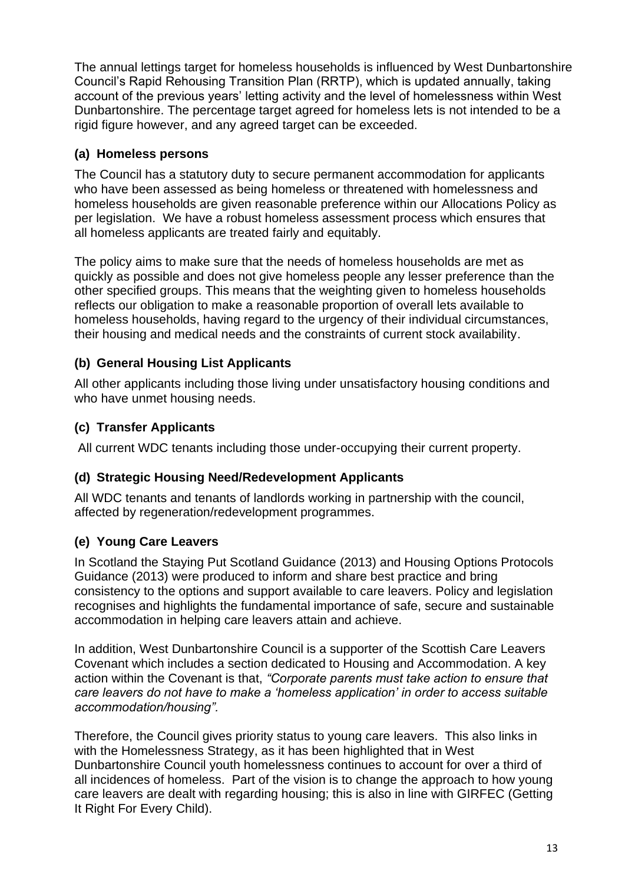The annual lettings target for homeless households is influenced by West Dunbartonshire Council's Rapid Rehousing Transition Plan (RRTP), which is updated annually, taking account of the previous years' letting activity and the level of homelessness within West Dunbartonshire. The percentage target agreed for homeless lets is not intended to be a rigid figure however, and any agreed target can be exceeded.

## **(a) Homeless persons**

The Council has a statutory duty to secure permanent accommodation for applicants who have been assessed as being homeless or threatened with homelessness and homeless households are given reasonable preference within our Allocations Policy as per legislation. We have a robust homeless assessment process which ensures that all homeless applicants are treated fairly and equitably.

The policy aims to make sure that the needs of homeless households are met as quickly as possible and does not give homeless people any lesser preference than the other specified groups. This means that the weighting given to homeless households reflects our obligation to make a reasonable proportion of overall lets available to homeless households, having regard to the urgency of their individual circumstances, their housing and medical needs and the constraints of current stock availability.

## **(b) General Housing List Applicants**

All other applicants including those living under unsatisfactory housing conditions and who have unmet housing needs.

## **(c) Transfer Applicants**

All current WDC tenants including those under-occupying their current property.

#### **(d) Strategic Housing Need/Redevelopment Applicants**

All WDC tenants and tenants of landlords working in partnership with the council, affected by regeneration/redevelopment programmes.

# **(e) Young Care Leavers**

In Scotland the Staying Put Scotland Guidance (2013) and Housing Options Protocols Guidance (2013) were produced to inform and share best practice and bring consistency to the options and support available to care leavers. Policy and legislation recognises and highlights the fundamental importance of safe, secure and sustainable accommodation in helping care leavers attain and achieve.

In addition, West Dunbartonshire Council is a supporter of the Scottish Care Leavers Covenant which includes a section dedicated to Housing and Accommodation. A key action within the Covenant is that, *"Corporate parents must take action to ensure that care leavers do not have to make a 'homeless application' in order to access suitable accommodation/housing".*

Therefore, the Council gives priority status to young care leavers. This also links in with the Homelessness Strategy, as it has been highlighted that in West Dunbartonshire Council youth homelessness continues to account for over a third of all incidences of homeless. Part of the vision is to change the approach to how young care leavers are dealt with regarding housing; this is also in line with GIRFEC (Getting It Right For Every Child).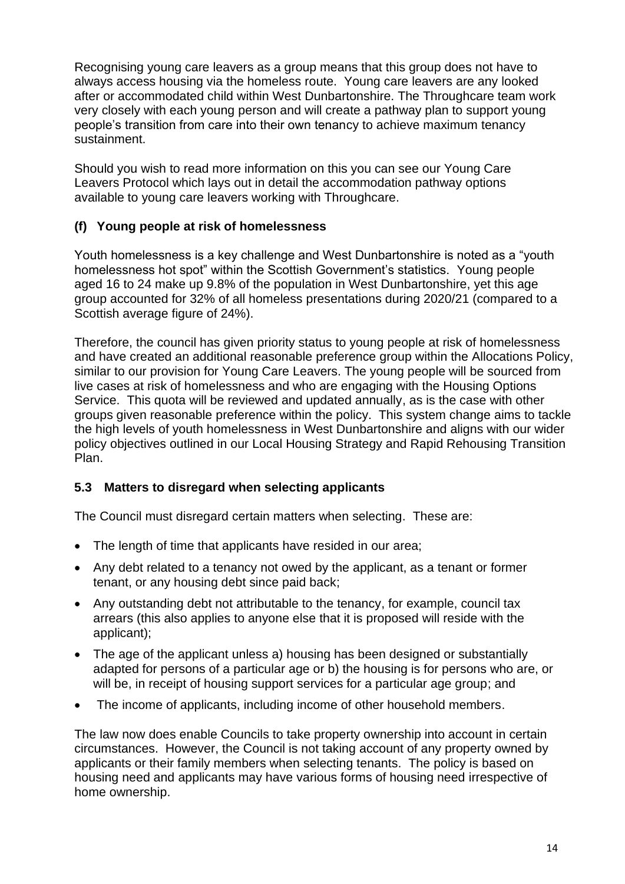Recognising young care leavers as a group means that this group does not have to always access housing via the homeless route. Young care leavers are any looked after or accommodated child within West Dunbartonshire. The Throughcare team work very closely with each young person and will create a pathway plan to support young people's transition from care into their own tenancy to achieve maximum tenancy sustainment.

Should you wish to read more information on this you can see our Young Care Leavers Protocol which lays out in detail the accommodation pathway options available to young care leavers working with Throughcare.

## **(f) Young people at risk of homelessness**

Youth homelessness is a key challenge and West Dunbartonshire is noted as a "youth homelessness hot spot" within the Scottish Government's statistics. Young people aged 16 to 24 make up 9.8% of the population in West Dunbartonshire, yet this age group accounted for 32% of all homeless presentations during 2020/21 (compared to a Scottish average figure of 24%).

Therefore, the council has given priority status to young people at risk of homelessness and have created an additional reasonable preference group within the Allocations Policy, similar to our provision for Young Care Leavers. The young people will be sourced from live cases at risk of homelessness and who are engaging with the Housing Options Service. This quota will be reviewed and updated annually, as is the case with other groups given reasonable preference within the policy. This system change aims to tackle the high levels of youth homelessness in West Dunbartonshire and aligns with our wider policy objectives outlined in our Local Housing Strategy and Rapid Rehousing Transition Plan.

#### **5.3 Matters to disregard when selecting applicants**

The Council must disregard certain matters when selecting. These are:

- The length of time that applicants have resided in our area;
- Any debt related to a tenancy not owed by the applicant, as a tenant or former tenant, or any housing debt since paid back;
- Any outstanding debt not attributable to the tenancy, for example, council tax arrears (this also applies to anyone else that it is proposed will reside with the applicant);
- The age of the applicant unless a) housing has been designed or substantially adapted for persons of a particular age or b) the housing is for persons who are, or will be, in receipt of housing support services for a particular age group; and
- The income of applicants, including income of other household members.

The law now does enable Councils to take property ownership into account in certain circumstances. However, the Council is not taking account of any property owned by applicants or their family members when selecting tenants. The policy is based on housing need and applicants may have various forms of housing need irrespective of home ownership.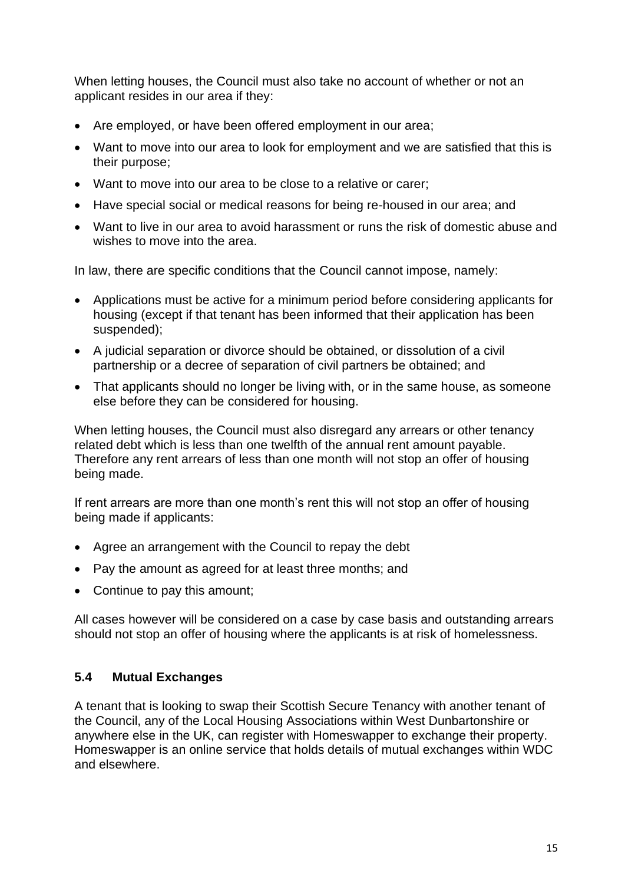When letting houses, the Council must also take no account of whether or not an applicant resides in our area if they:

- Are employed, or have been offered employment in our area;
- Want to move into our area to look for employment and we are satisfied that this is their purpose;
- Want to move into our area to be close to a relative or carer;
- Have special social or medical reasons for being re-housed in our area; and
- Want to live in our area to avoid harassment or runs the risk of domestic abuse and wishes to move into the area.

In law, there are specific conditions that the Council cannot impose, namely:

- Applications must be active for a minimum period before considering applicants for housing (except if that tenant has been informed that their application has been suspended);
- A judicial separation or divorce should be obtained, or dissolution of a civil partnership or a decree of separation of civil partners be obtained; and
- That applicants should no longer be living with, or in the same house, as someone else before they can be considered for housing.

When letting houses, the Council must also disregard any arrears or other tenancy related debt which is less than one twelfth of the annual rent amount payable. Therefore any rent arrears of less than one month will not stop an offer of housing being made.

If rent arrears are more than one month's rent this will not stop an offer of housing being made if applicants:

- Agree an arrangement with the Council to repay the debt
- Pay the amount as agreed for at least three months; and
- Continue to pay this amount;

All cases however will be considered on a case by case basis and outstanding arrears should not stop an offer of housing where the applicants is at risk of homelessness.

#### **5.4 Mutual Exchanges**

A tenant that is looking to swap their Scottish Secure Tenancy with another tenant of the Council, any of the Local Housing Associations within West Dunbartonshire or anywhere else in the UK, can register with Homeswapper to exchange their property. Homeswapper is an online service that holds details of mutual exchanges within WDC and elsewhere.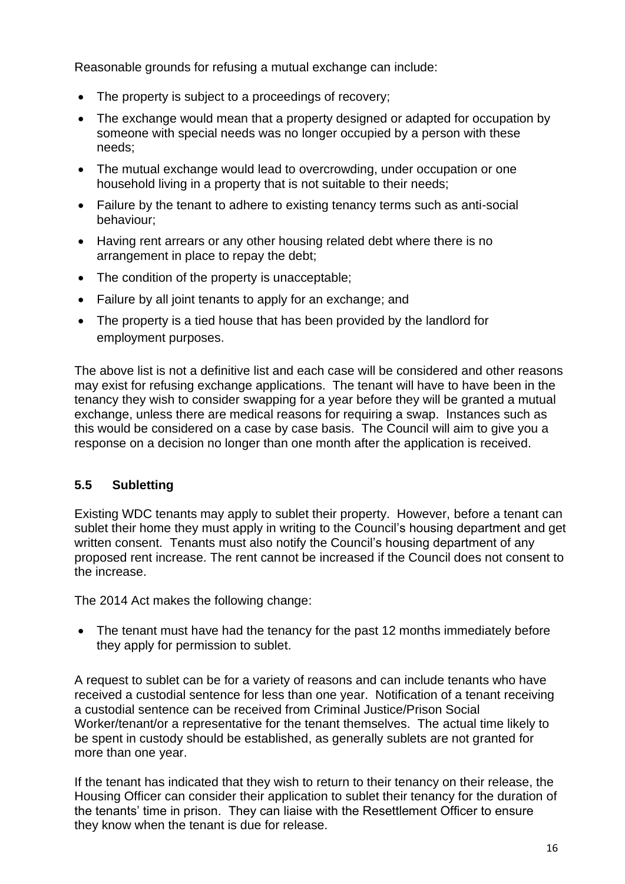Reasonable grounds for refusing a mutual exchange can include:

- The property is subject to a proceedings of recovery;
- The exchange would mean that a property designed or adapted for occupation by someone with special needs was no longer occupied by a person with these needs;
- The mutual exchange would lead to overcrowding, under occupation or one household living in a property that is not suitable to their needs;
- Failure by the tenant to adhere to existing tenancy terms such as anti-social behaviour;
- Having rent arrears or any other housing related debt where there is no arrangement in place to repay the debt;
- The condition of the property is unacceptable;
- Failure by all joint tenants to apply for an exchange; and
- The property is a tied house that has been provided by the landlord for employment purposes.

The above list is not a definitive list and each case will be considered and other reasons may exist for refusing exchange applications. The tenant will have to have been in the tenancy they wish to consider swapping for a year before they will be granted a mutual exchange, unless there are medical reasons for requiring a swap. Instances such as this would be considered on a case by case basis. The Council will aim to give you a response on a decision no longer than one month after the application is received.

# **5.5 Subletting**

Existing WDC tenants may apply to sublet their property. However, before a tenant can sublet their home they must apply in writing to the Council's housing department and get written consent. Tenants must also notify the Council's housing department of any proposed rent increase. The rent cannot be increased if the Council does not consent to the increase.

The 2014 Act makes the following change:

• The tenant must have had the tenancy for the past 12 months immediately before they apply for permission to sublet.

A request to sublet can be for a variety of reasons and can include tenants who have received a custodial sentence for less than one year. Notification of a tenant receiving a custodial sentence can be received from Criminal Justice/Prison Social Worker/tenant/or a representative for the tenant themselves. The actual time likely to be spent in custody should be established, as generally sublets are not granted for more than one year.

If the tenant has indicated that they wish to return to their tenancy on their release, the Housing Officer can consider their application to sublet their tenancy for the duration of the tenants' time in prison. They can liaise with the Resettlement Officer to ensure they know when the tenant is due for release.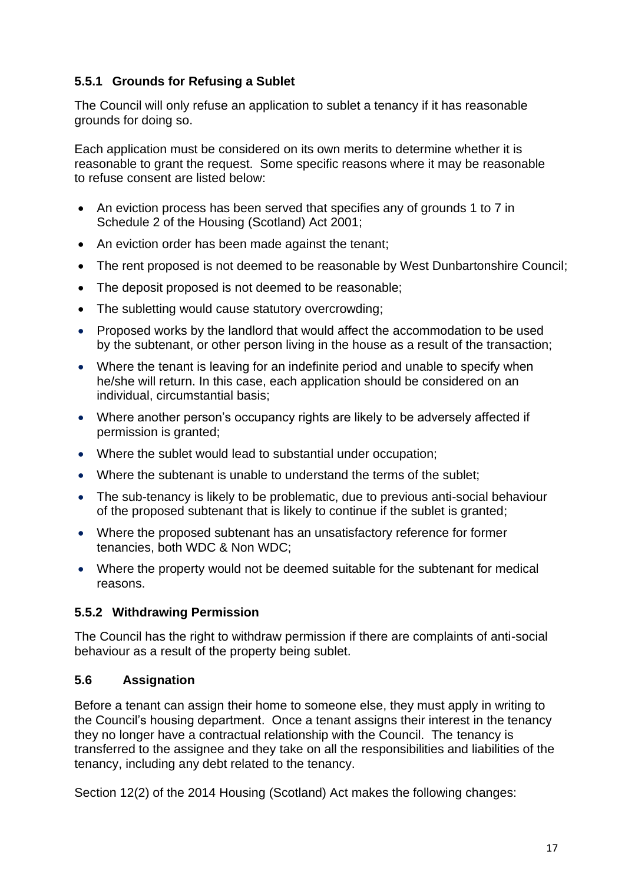# **5.5.1 Grounds for Refusing a Sublet**

The Council will only refuse an application to sublet a tenancy if it has reasonable grounds for doing so.

Each application must be considered on its own merits to determine whether it is reasonable to grant the request. Some specific reasons where it may be reasonable to refuse consent are listed below:

- An eviction process has been served that specifies any of grounds 1 to 7 in Schedule 2 of the Housing (Scotland) Act 2001;
- An eviction order has been made against the tenant;
- The rent proposed is not deemed to be reasonable by West Dunbartonshire Council;
- The deposit proposed is not deemed to be reasonable;
- The subletting would cause statutory overcrowding;
- Proposed works by the landlord that would affect the accommodation to be used by the subtenant, or other person living in the house as a result of the transaction;
- Where the tenant is leaving for an indefinite period and unable to specify when he/she will return. In this case, each application should be considered on an individual, circumstantial basis;
- Where another person's occupancy rights are likely to be adversely affected if permission is granted;
- Where the sublet would lead to substantial under occupation;
- Where the subtenant is unable to understand the terms of the sublet;
- The sub-tenancy is likely to be problematic, due to previous anti-social behaviour of the proposed subtenant that is likely to continue if the sublet is granted;
- Where the proposed subtenant has an unsatisfactory reference for former tenancies, both WDC & Non WDC;
- Where the property would not be deemed suitable for the subtenant for medical reasons.

#### **5.5.2 Withdrawing Permission**

The Council has the right to withdraw permission if there are complaints of anti-social behaviour as a result of the property being sublet.

#### **5.6 Assignation**

Before a tenant can assign their home to someone else, they must apply in writing to the Council's housing department. Once a tenant assigns their interest in the tenancy they no longer have a contractual relationship with the Council. The tenancy is transferred to the assignee and they take on all the responsibilities and liabilities of the tenancy, including any debt related to the tenancy.

Section 12(2) of the 2014 Housing (Scotland) Act makes the following changes: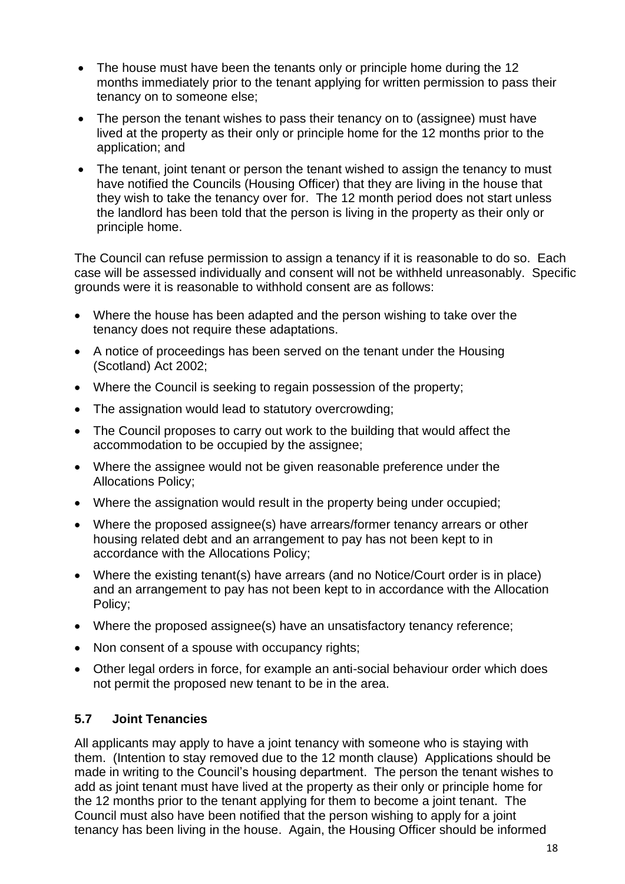- The house must have been the tenants only or principle home during the 12 months immediately prior to the tenant applying for written permission to pass their tenancy on to someone else;
- The person the tenant wishes to pass their tenancy on to (assignee) must have lived at the property as their only or principle home for the 12 months prior to the application; and
- The tenant, joint tenant or person the tenant wished to assign the tenancy to must have notified the Councils (Housing Officer) that they are living in the house that they wish to take the tenancy over for. The 12 month period does not start unless the landlord has been told that the person is living in the property as their only or principle home.

The Council can refuse permission to assign a tenancy if it is reasonable to do so. Each case will be assessed individually and consent will not be withheld unreasonably. Specific grounds were it is reasonable to withhold consent are as follows:

- Where the house has been adapted and the person wishing to take over the tenancy does not require these adaptations.
- A notice of proceedings has been served on the tenant under the Housing (Scotland) Act 2002;
- Where the Council is seeking to regain possession of the property;
- The assignation would lead to statutory overcrowding;
- The Council proposes to carry out work to the building that would affect the accommodation to be occupied by the assignee;
- Where the assignee would not be given reasonable preference under the Allocations Policy;
- Where the assignation would result in the property being under occupied;
- Where the proposed assignee(s) have arrears/former tenancy arrears or other housing related debt and an arrangement to pay has not been kept to in accordance with the Allocations Policy;
- Where the existing tenant(s) have arrears (and no Notice/Court order is in place) and an arrangement to pay has not been kept to in accordance with the Allocation Policy;
- Where the proposed assignee(s) have an unsatisfactory tenancy reference;
- Non consent of a spouse with occupancy rights;
- Other legal orders in force, for example an anti-social behaviour order which does not permit the proposed new tenant to be in the area.

#### **5.7 Joint Tenancies**

All applicants may apply to have a joint tenancy with someone who is staying with them. (Intention to stay removed due to the 12 month clause) Applications should be made in writing to the Council's housing department. The person the tenant wishes to add as joint tenant must have lived at the property as their only or principle home for the 12 months prior to the tenant applying for them to become a joint tenant. The Council must also have been notified that the person wishing to apply for a joint tenancy has been living in the house. Again, the Housing Officer should be informed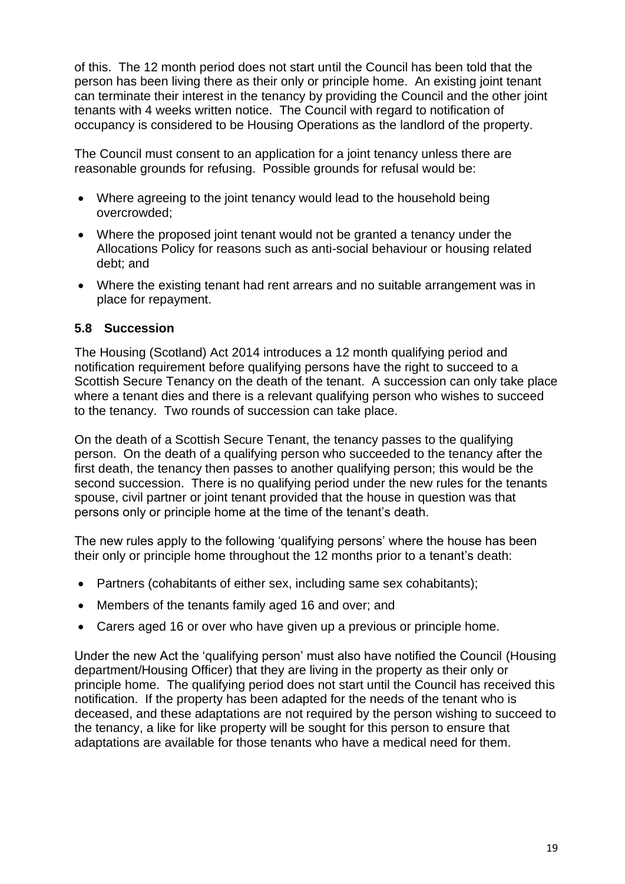of this. The 12 month period does not start until the Council has been told that the person has been living there as their only or principle home. An existing joint tenant can terminate their interest in the tenancy by providing the Council and the other joint tenants with 4 weeks written notice. The Council with regard to notification of occupancy is considered to be Housing Operations as the landlord of the property.

The Council must consent to an application for a joint tenancy unless there are reasonable grounds for refusing. Possible grounds for refusal would be:

- Where agreeing to the joint tenancy would lead to the household being overcrowded;
- Where the proposed joint tenant would not be granted a tenancy under the Allocations Policy for reasons such as anti-social behaviour or housing related debt; and
- Where the existing tenant had rent arrears and no suitable arrangement was in place for repayment.

#### **5.8 Succession**

The Housing (Scotland) Act 2014 introduces a 12 month qualifying period and notification requirement before qualifying persons have the right to succeed to a Scottish Secure Tenancy on the death of the tenant. A succession can only take place where a tenant dies and there is a relevant qualifying person who wishes to succeed to the tenancy. Two rounds of succession can take place.

On the death of a Scottish Secure Tenant, the tenancy passes to the qualifying person. On the death of a qualifying person who succeeded to the tenancy after the first death, the tenancy then passes to another qualifying person; this would be the second succession. There is no qualifying period under the new rules for the tenants spouse, civil partner or joint tenant provided that the house in question was that persons only or principle home at the time of the tenant's death.

The new rules apply to the following 'qualifying persons' where the house has been their only or principle home throughout the 12 months prior to a tenant's death:

- Partners (cohabitants of either sex, including same sex cohabitants);
- Members of the tenants family aged 16 and over; and
- Carers aged 16 or over who have given up a previous or principle home.

Under the new Act the 'qualifying person' must also have notified the Council (Housing department/Housing Officer) that they are living in the property as their only or principle home. The qualifying period does not start until the Council has received this notification. If the property has been adapted for the needs of the tenant who is deceased, and these adaptations are not required by the person wishing to succeed to the tenancy, a like for like property will be sought for this person to ensure that adaptations are available for those tenants who have a medical need for them.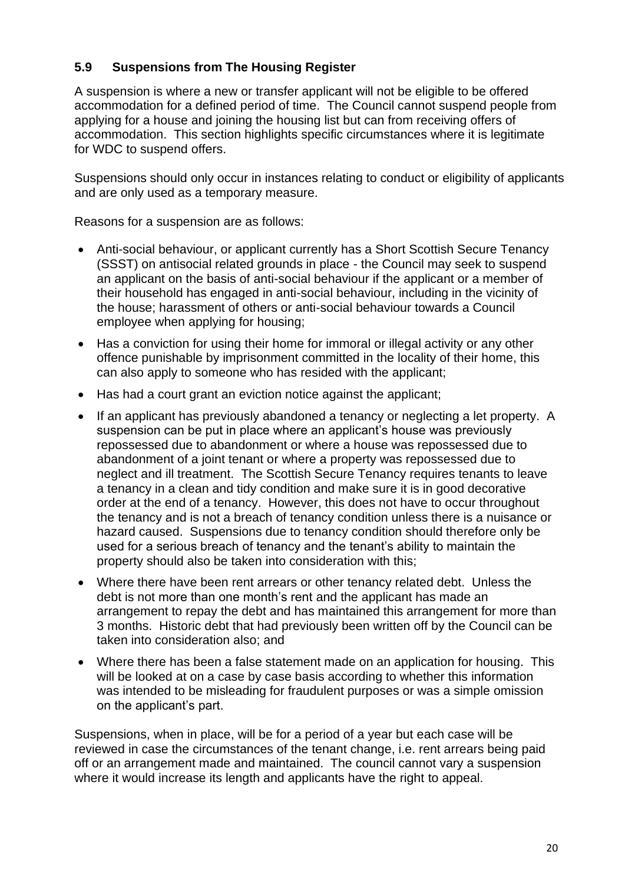## **5.9 Suspensions from The Housing Register**

A suspension is where a new or transfer applicant will not be eligible to be offered accommodation for a defined period of time. The Council cannot suspend people from applying for a house and joining the housing list but can from receiving offers of accommodation. This section highlights specific circumstances where it is legitimate for WDC to suspend offers.

Suspensions should only occur in instances relating to conduct or eligibility of applicants and are only used as a temporary measure.

Reasons for a suspension are as follows:

- Anti-social behaviour, or applicant currently has a Short Scottish Secure Tenancy (SSST) on antisocial related grounds in place - the Council may seek to suspend an applicant on the basis of anti-social behaviour if the applicant or a member of their household has engaged in anti-social behaviour, including in the vicinity of the house; harassment of others or anti-social behaviour towards a Council employee when applying for housing;
- Has a conviction for using their home for immoral or illegal activity or any other offence punishable by imprisonment committed in the locality of their home, this can also apply to someone who has resided with the applicant;
- Has had a court grant an eviction notice against the applicant;
- If an applicant has previously abandoned a tenancy or neglecting a let property. A suspension can be put in place where an applicant's house was previously repossessed due to abandonment or where a house was repossessed due to abandonment of a joint tenant or where a property was repossessed due to neglect and ill treatment. The Scottish Secure Tenancy requires tenants to leave a tenancy in a clean and tidy condition and make sure it is in good decorative order at the end of a tenancy. However, this does not have to occur throughout the tenancy and is not a breach of tenancy condition unless there is a nuisance or hazard caused. Suspensions due to tenancy condition should therefore only be used for a serious breach of tenancy and the tenant's ability to maintain the property should also be taken into consideration with this;
- Where there have been rent arrears or other tenancy related debt. Unless the debt is not more than one month's rent and the applicant has made an arrangement to repay the debt and has maintained this arrangement for more than 3 months. Historic debt that had previously been written off by the Council can be taken into consideration also; and
- Where there has been a false statement made on an application for housing. This will be looked at on a case by case basis according to whether this information was intended to be misleading for fraudulent purposes or was a simple omission on the applicant's part.

Suspensions, when in place, will be for a period of a year but each case will be reviewed in case the circumstances of the tenant change, i.e. rent arrears being paid off or an arrangement made and maintained. The council cannot vary a suspension where it would increase its length and applicants have the right to appeal.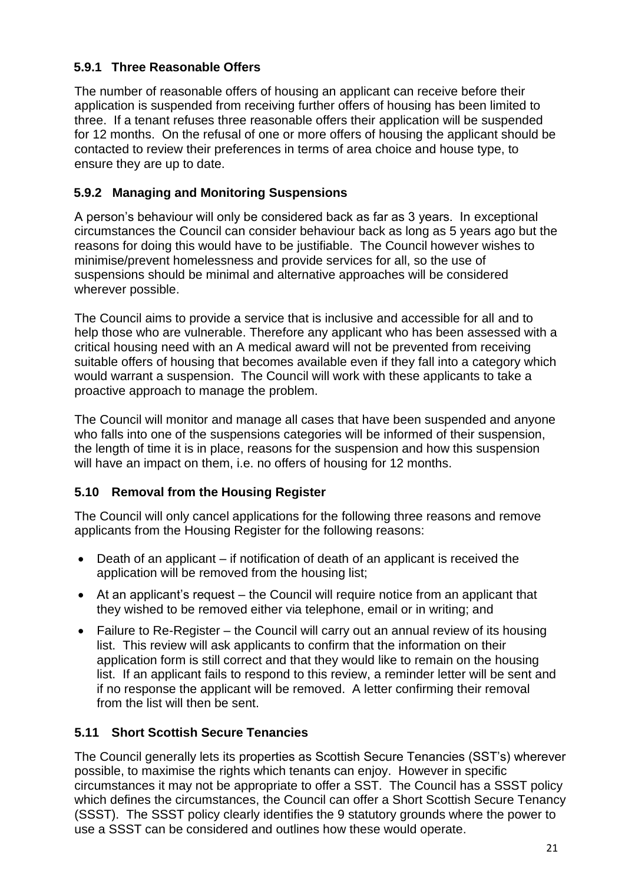# **5.9.1 Three Reasonable Offers**

The number of reasonable offers of housing an applicant can receive before their application is suspended from receiving further offers of housing has been limited to three. If a tenant refuses three reasonable offers their application will be suspended for 12 months. On the refusal of one or more offers of housing the applicant should be contacted to review their preferences in terms of area choice and house type, to ensure they are up to date.

# **5.9.2 Managing and Monitoring Suspensions**

A person's behaviour will only be considered back as far as 3 years. In exceptional circumstances the Council can consider behaviour back as long as 5 years ago but the reasons for doing this would have to be justifiable. The Council however wishes to minimise/prevent homelessness and provide services for all, so the use of suspensions should be minimal and alternative approaches will be considered wherever possible.

The Council aims to provide a service that is inclusive and accessible for all and to help those who are vulnerable. Therefore any applicant who has been assessed with a critical housing need with an A medical award will not be prevented from receiving suitable offers of housing that becomes available even if they fall into a category which would warrant a suspension. The Council will work with these applicants to take a proactive approach to manage the problem.

The Council will monitor and manage all cases that have been suspended and anyone who falls into one of the suspensions categories will be informed of their suspension, the length of time it is in place, reasons for the suspension and how this suspension will have an impact on them, i.e. no offers of housing for 12 months.

# **5.10 Removal from the Housing Register**

The Council will only cancel applications for the following three reasons and remove applicants from the Housing Register for the following reasons:

- Death of an applicant if notification of death of an applicant is received the application will be removed from the housing list;
- At an applicant's request the Council will require notice from an applicant that they wished to be removed either via telephone, email or in writing; and
- Failure to Re-Register the Council will carry out an annual review of its housing list. This review will ask applicants to confirm that the information on their application form is still correct and that they would like to remain on the housing list. If an applicant fails to respond to this review, a reminder letter will be sent and if no response the applicant will be removed. A letter confirming their removal from the list will then be sent.

# **5.11 Short Scottish Secure Tenancies**

The Council generally lets its properties as Scottish Secure Tenancies (SST's) wherever possible, to maximise the rights which tenants can enjoy. However in specific circumstances it may not be appropriate to offer a SST. The Council has a SSST policy which defines the circumstances, the Council can offer a Short Scottish Secure Tenancy (SSST). The SSST policy clearly identifies the 9 statutory grounds where the power to use a SSST can be considered and outlines how these would operate.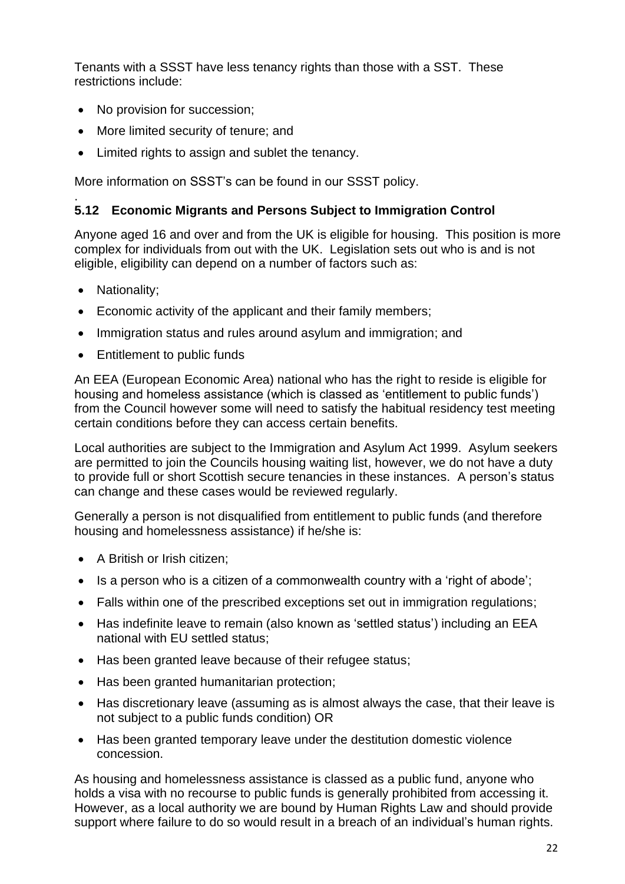Tenants with a SSST have less tenancy rights than those with a SST. These restrictions include:

- No provision for succession;
- More limited security of tenure; and
- Limited rights to assign and sublet the tenancy.

More information on SSST's can be found in our SSST policy.

#### . **5.12 Economic Migrants and Persons Subject to Immigration Control**

Anyone aged 16 and over and from the UK is eligible for housing. This position is more complex for individuals from out with the UK. Legislation sets out who is and is not eligible, eligibility can depend on a number of factors such as:

- Nationality;
- Economic activity of the applicant and their family members;
- Immigration status and rules around asylum and immigration; and
- Entitlement to public funds

An EEA (European Economic Area) national who has the right to reside is eligible for housing and homeless assistance (which is classed as 'entitlement to public funds') from the Council however some will need to satisfy the habitual residency test meeting certain conditions before they can access certain benefits.

Local authorities are subject to the Immigration and Asylum Act 1999. Asylum seekers are permitted to join the Councils housing waiting list, however, we do not have a duty to provide full or short Scottish secure tenancies in these instances. A person's status can change and these cases would be reviewed regularly.

Generally a person is not disqualified from entitlement to public funds (and therefore housing and homelessness assistance) if he/she is:

- A British or Irish citizen:
- Is a person who is a citizen of a commonwealth country with a 'right of abode';
- Falls within one of the prescribed exceptions set out in immigration regulations;
- Has indefinite leave to remain (also known as 'settled status') including an EEA national with EU settled status;
- Has been granted leave because of their refugee status;
- Has been granted humanitarian protection;
- Has discretionary leave (assuming as is almost always the case, that their leave is not subject to a public funds condition) OR
- Has been granted temporary leave under the destitution domestic violence concession.

As housing and homelessness assistance is classed as a public fund, anyone who holds a visa with no recourse to public funds is generally prohibited from accessing it. However, as a local authority we are bound by Human Rights Law and should provide support where failure to do so would result in a breach of an individual's human rights.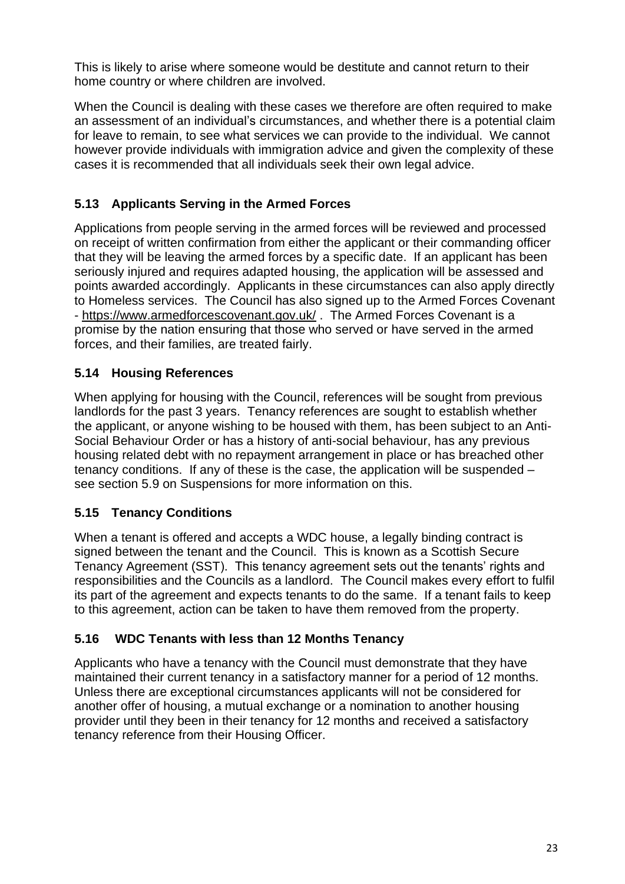This is likely to arise where someone would be destitute and cannot return to their home country or where children are involved.

When the Council is dealing with these cases we therefore are often required to make an assessment of an individual's circumstances, and whether there is a potential claim for leave to remain, to see what services we can provide to the individual. We cannot however provide individuals with immigration advice and given the complexity of these cases it is recommended that all individuals seek their own legal advice.

# **5.13 Applicants Serving in the Armed Forces**

Applications from people serving in the armed forces will be reviewed and processed on receipt of written confirmation from either the applicant or their commanding officer that they will be leaving the armed forces by a specific date. If an applicant has been seriously injured and requires adapted housing, the application will be assessed and points awarded accordingly. Applicants in these circumstances can also apply directly to Homeless services. The Council has also signed up to the Armed Forces Covenant - <https://www.armedforcescovenant.gov.uk/> . The Armed Forces Covenant is a promise by the nation ensuring that those who served or have served in the armed forces, and their families, are treated fairly.

# **5.14 Housing References**

When applying for housing with the Council, references will be sought from previous landlords for the past 3 years. Tenancy references are sought to establish whether the applicant, or anyone wishing to be housed with them, has been subject to an Anti-Social Behaviour Order or has a history of anti-social behaviour, has any previous housing related debt with no repayment arrangement in place or has breached other tenancy conditions. If any of these is the case, the application will be suspended – see section 5.9 on Suspensions for more information on this.

# **5.15 Tenancy Conditions**

When a tenant is offered and accepts a WDC house, a legally binding contract is signed between the tenant and the Council. This is known as a Scottish Secure Tenancy Agreement (SST). This tenancy agreement sets out the tenants' rights and responsibilities and the Councils as a landlord. The Council makes every effort to fulfil its part of the agreement and expects tenants to do the same. If a tenant fails to keep to this agreement, action can be taken to have them removed from the property.

# **5.16 WDC Tenants with less than 12 Months Tenancy**

Applicants who have a tenancy with the Council must demonstrate that they have maintained their current tenancy in a satisfactory manner for a period of 12 months. Unless there are exceptional circumstances applicants will not be considered for another offer of housing, a mutual exchange or a nomination to another housing provider until they been in their tenancy for 12 months and received a satisfactory tenancy reference from their Housing Officer.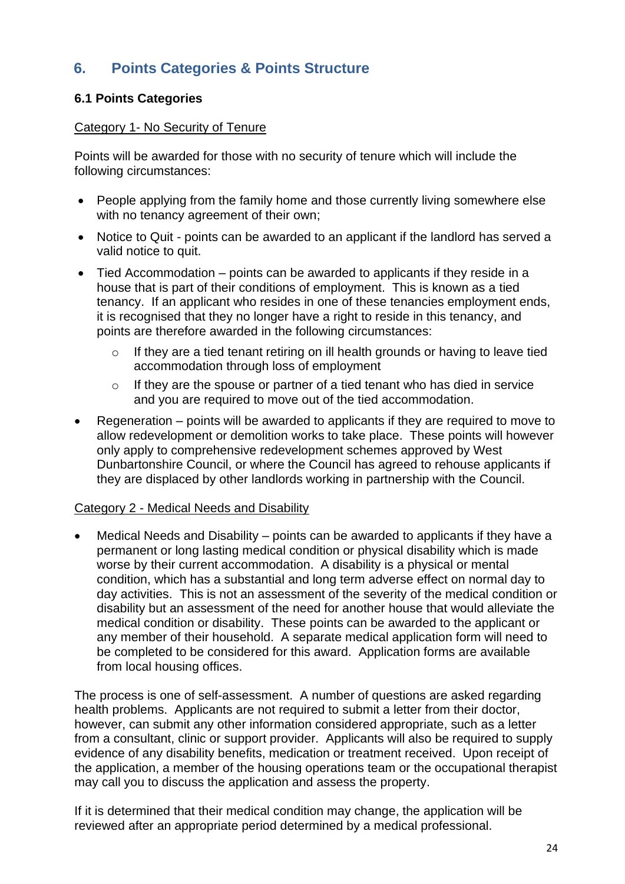# **6. Points Categories & Points Structure**

## **6.1 Points Categories**

#### Category 1- No Security of Tenure

Points will be awarded for those with no security of tenure which will include the following circumstances:

- People applying from the family home and those currently living somewhere else with no tenancy agreement of their own;
- Notice to Quit points can be awarded to an applicant if the landlord has served a valid notice to quit.
- Tied Accommodation points can be awarded to applicants if they reside in a house that is part of their conditions of employment. This is known as a tied tenancy. If an applicant who resides in one of these tenancies employment ends, it is recognised that they no longer have a right to reside in this tenancy, and points are therefore awarded in the following circumstances:
	- o If they are a tied tenant retiring on ill health grounds or having to leave tied accommodation through loss of employment
	- $\circ$  If they are the spouse or partner of a tied tenant who has died in service and you are required to move out of the tied accommodation.
- Regeneration points will be awarded to applicants if they are required to move to allow redevelopment or demolition works to take place. These points will however only apply to comprehensive redevelopment schemes approved by West Dunbartonshire Council, or where the Council has agreed to rehouse applicants if they are displaced by other landlords working in partnership with the Council.

#### Category 2 - Medical Needs and Disability

• Medical Needs and Disability – points can be awarded to applicants if they have a permanent or long lasting medical condition or physical disability which is made worse by their current accommodation. A disability is a physical or mental condition, which has a substantial and long term adverse effect on normal day to day activities. This is not an assessment of the severity of the medical condition or disability but an assessment of the need for another house that would alleviate the medical condition or disability. These points can be awarded to the applicant or any member of their household. A separate medical application form will need to be completed to be considered for this award. Application forms are available from local housing offices.

The process is one of self-assessment. A number of questions are asked regarding health problems. Applicants are not required to submit a letter from their doctor, however, can submit any other information considered appropriate, such as a letter from a consultant, clinic or support provider. Applicants will also be required to supply evidence of any disability benefits, medication or treatment received. Upon receipt of the application, a member of the housing operations team or the occupational therapist may call you to discuss the application and assess the property.

If it is determined that their medical condition may change, the application will be reviewed after an appropriate period determined by a medical professional.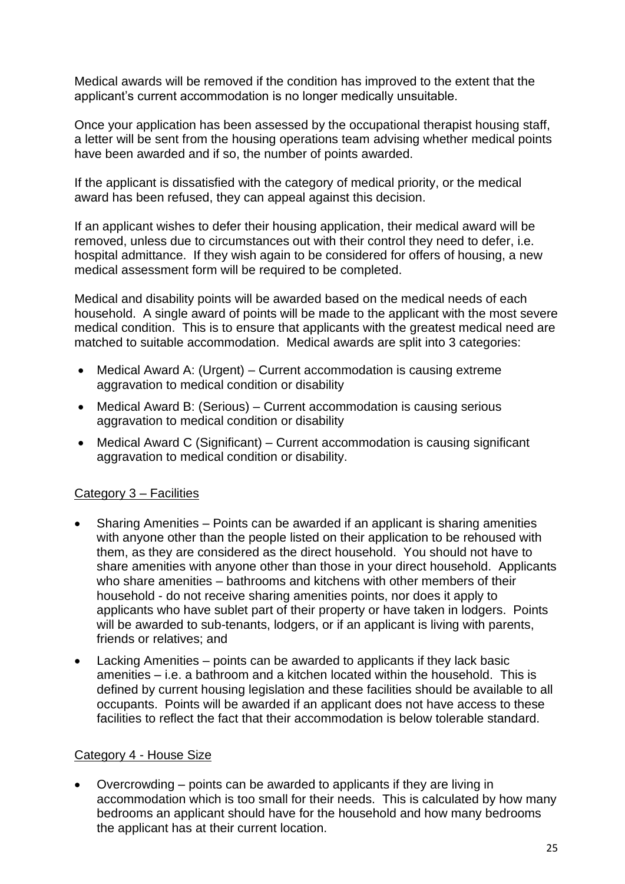Medical awards will be removed if the condition has improved to the extent that the applicant's current accommodation is no longer medically unsuitable.

Once your application has been assessed by the occupational therapist housing staff, a letter will be sent from the housing operations team advising whether medical points have been awarded and if so, the number of points awarded.

If the applicant is dissatisfied with the category of medical priority, or the medical award has been refused, they can appeal against this decision.

If an applicant wishes to defer their housing application, their medical award will be removed, unless due to circumstances out with their control they need to defer, i.e. hospital admittance. If they wish again to be considered for offers of housing, a new medical assessment form will be required to be completed.

Medical and disability points will be awarded based on the medical needs of each household. A single award of points will be made to the applicant with the most severe medical condition. This is to ensure that applicants with the greatest medical need are matched to suitable accommodation. Medical awards are split into 3 categories:

- Medical Award A: (Urgent) Current accommodation is causing extreme aggravation to medical condition or disability
- Medical Award B: (Serious) Current accommodation is causing serious aggravation to medical condition or disability
- Medical Award C (Significant) Current accommodation is causing significant aggravation to medical condition or disability.

#### Category 3 – Facilities

- Sharing Amenities Points can be awarded if an applicant is sharing amenities with anyone other than the people listed on their application to be rehoused with them, as they are considered as the direct household. You should not have to share amenities with anyone other than those in your direct household. Applicants who share amenities – bathrooms and kitchens with other members of their household - do not receive sharing amenities points, nor does it apply to applicants who have sublet part of their property or have taken in lodgers. Points will be awarded to sub-tenants, lodgers, or if an applicant is living with parents, friends or relatives; and
- Lacking Amenities points can be awarded to applicants if they lack basic amenities – i.e. a bathroom and a kitchen located within the household. This is defined by current housing legislation and these facilities should be available to all occupants. Points will be awarded if an applicant does not have access to these facilities to reflect the fact that their accommodation is below tolerable standard.

#### Category 4 - House Size

• Overcrowding – points can be awarded to applicants if they are living in accommodation which is too small for their needs. This is calculated by how many bedrooms an applicant should have for the household and how many bedrooms the applicant has at their current location.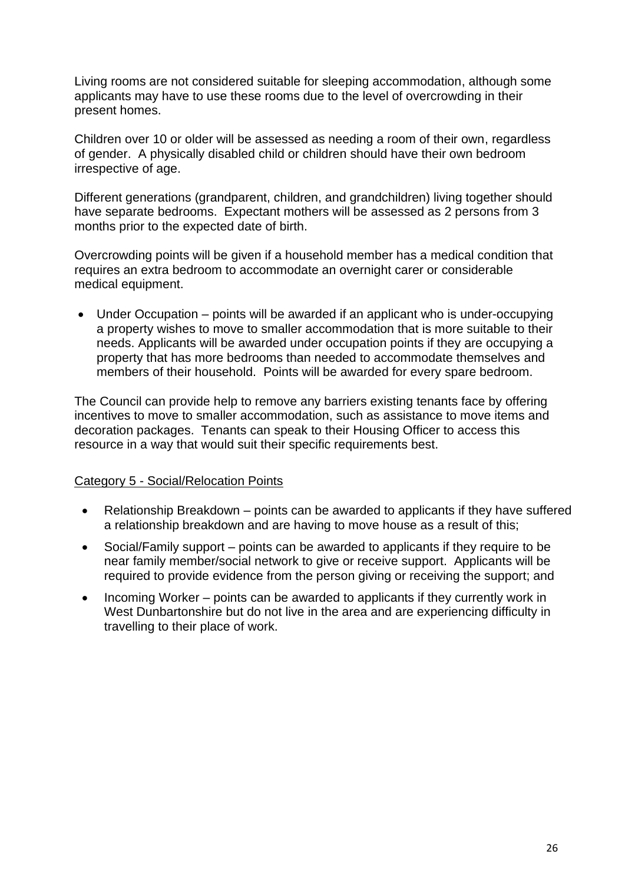Living rooms are not considered suitable for sleeping accommodation, although some applicants may have to use these rooms due to the level of overcrowding in their present homes.

Children over 10 or older will be assessed as needing a room of their own, regardless of gender. A physically disabled child or children should have their own bedroom irrespective of age.

Different generations (grandparent, children, and grandchildren) living together should have separate bedrooms. Expectant mothers will be assessed as 2 persons from 3 months prior to the expected date of birth.

Overcrowding points will be given if a household member has a medical condition that requires an extra bedroom to accommodate an overnight carer or considerable medical equipment.

• Under Occupation – points will be awarded if an applicant who is under-occupying a property wishes to move to smaller accommodation that is more suitable to their needs. Applicants will be awarded under occupation points if they are occupying a property that has more bedrooms than needed to accommodate themselves and members of their household. Points will be awarded for every spare bedroom.

The Council can provide help to remove any barriers existing tenants face by offering incentives to move to smaller accommodation, such as assistance to move items and decoration packages. Tenants can speak to their Housing Officer to access this resource in a way that would suit their specific requirements best.

#### Category 5 - Social/Relocation Points

- Relationship Breakdown points can be awarded to applicants if they have suffered a relationship breakdown and are having to move house as a result of this;
- Social/Family support points can be awarded to applicants if they require to be near family member/social network to give or receive support. Applicants will be required to provide evidence from the person giving or receiving the support; and
- Incoming Worker points can be awarded to applicants if they currently work in West Dunbartonshire but do not live in the area and are experiencing difficulty in travelling to their place of work.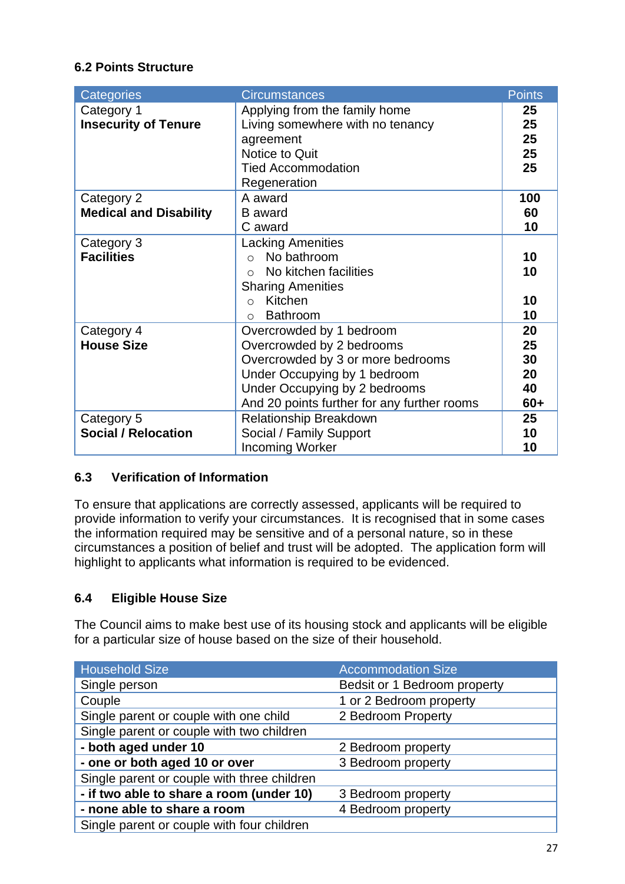## **6.2 Points Structure**

| Categories                    | <b>Circumstances</b>                        | <b>Points</b> |
|-------------------------------|---------------------------------------------|---------------|
| Category 1                    | Applying from the family home               | 25            |
| <b>Insecurity of Tenure</b>   | Living somewhere with no tenancy            | 25            |
|                               | agreement                                   | 25            |
|                               | Notice to Quit                              | 25            |
|                               | <b>Tied Accommodation</b>                   | 25            |
|                               | Regeneration                                |               |
| Category 2                    | A award                                     | 100           |
| <b>Medical and Disability</b> | <b>B</b> award                              | 60            |
|                               | C award                                     | 10            |
| Category 3                    | <b>Lacking Amenities</b>                    |               |
| <b>Facilities</b>             | No bathroom<br>$\bigcap$                    | 10            |
|                               | No kitchen facilities<br>$\cap$             | 10            |
|                               | <b>Sharing Amenities</b>                    |               |
|                               | Kitchen<br>$\Omega$                         | 10            |
|                               | <b>Bathroom</b><br>$\bigcap$                | 10            |
| Category 4                    | Overcrowded by 1 bedroom                    | 20            |
| <b>House Size</b>             | Overcrowded by 2 bedrooms                   | 25            |
|                               | Overcrowded by 3 or more bedrooms           | 30            |
|                               | Under Occupying by 1 bedroom                | 20            |
|                               | Under Occupying by 2 bedrooms               | 40            |
|                               | And 20 points further for any further rooms | $60+$         |
| Category 5                    | Relationship Breakdown                      | 25            |
| <b>Social / Relocation</b>    | Social / Family Support                     | 10            |
|                               | <b>Incoming Worker</b>                      | 10            |

#### **6.3 Verification of Information**

To ensure that applications are correctly assessed, applicants will be required to provide information to verify your circumstances. It is recognised that in some cases the information required may be sensitive and of a personal nature, so in these circumstances a position of belief and trust will be adopted. The application form will highlight to applicants what information is required to be evidenced.

# **6.4 Eligible House Size**

The Council aims to make best use of its housing stock and applicants will be eligible for a particular size of house based on the size of their household.

| <b>Household Size</b>                       | <b>Accommodation Size</b>    |
|---------------------------------------------|------------------------------|
| Single person                               | Bedsit or 1 Bedroom property |
| Couple                                      | 1 or 2 Bedroom property      |
| Single parent or couple with one child      | 2 Bedroom Property           |
| Single parent or couple with two children   |                              |
| - both aged under 10                        | 2 Bedroom property           |
| - one or both aged 10 or over               | 3 Bedroom property           |
| Single parent or couple with three children |                              |
| - if two able to share a room (under 10)    | 3 Bedroom property           |
| - none able to share a room                 | 4 Bedroom property           |
| Single parent or couple with four children  |                              |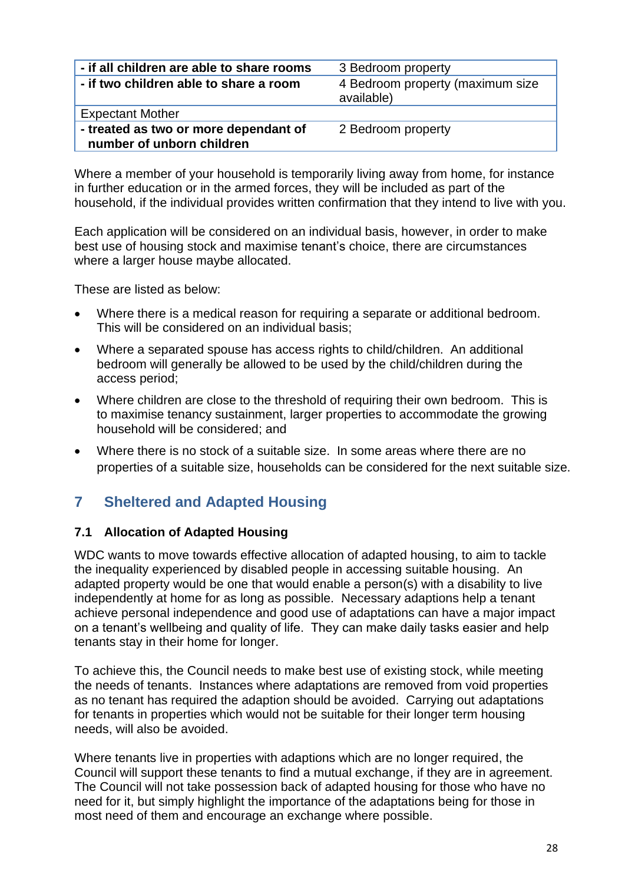| - if all children are able to share rooms                          | 3 Bedroom property                             |  |
|--------------------------------------------------------------------|------------------------------------------------|--|
| - if two children able to share a room                             | 4 Bedroom property (maximum size<br>available) |  |
| <b>Expectant Mother</b>                                            |                                                |  |
| - treated as two or more dependant of<br>number of unborn children | 2 Bedroom property                             |  |

Where a member of your household is temporarily living away from home, for instance in further education or in the armed forces, they will be included as part of the household, if the individual provides written confirmation that they intend to live with you.

Each application will be considered on an individual basis, however, in order to make best use of housing stock and maximise tenant's choice, there are circumstances where a larger house maybe allocated.

These are listed as below:

- Where there is a medical reason for requiring a separate or additional bedroom. This will be considered on an individual basis;
- Where a separated spouse has access rights to child/children. An additional bedroom will generally be allowed to be used by the child/children during the access period;
- Where children are close to the threshold of requiring their own bedroom. This is to maximise tenancy sustainment, larger properties to accommodate the growing household will be considered; and
- Where there is no stock of a suitable size. In some areas where there are no properties of a suitable size, households can be considered for the next suitable size.

# **7 Sheltered and Adapted Housing**

#### **7.1 Allocation of Adapted Housing**

WDC wants to move towards effective allocation of adapted housing, to aim to tackle the inequality experienced by disabled people in accessing suitable housing. An adapted property would be one that would enable a person(s) with a disability to live independently at home for as long as possible. Necessary adaptions help a tenant achieve personal independence and good use of adaptations can have a major impact on a tenant's wellbeing and quality of life. They can make daily tasks easier and help tenants stay in their home for longer.

To achieve this, the Council needs to make best use of existing stock, while meeting the needs of tenants. Instances where adaptations are removed from void properties as no tenant has required the adaption should be avoided. Carrying out adaptations for tenants in properties which would not be suitable for their longer term housing needs, will also be avoided.

Where tenants live in properties with adaptions which are no longer required, the Council will support these tenants to find a mutual exchange, if they are in agreement. The Council will not take possession back of adapted housing for those who have no need for it, but simply highlight the importance of the adaptations being for those in most need of them and encourage an exchange where possible.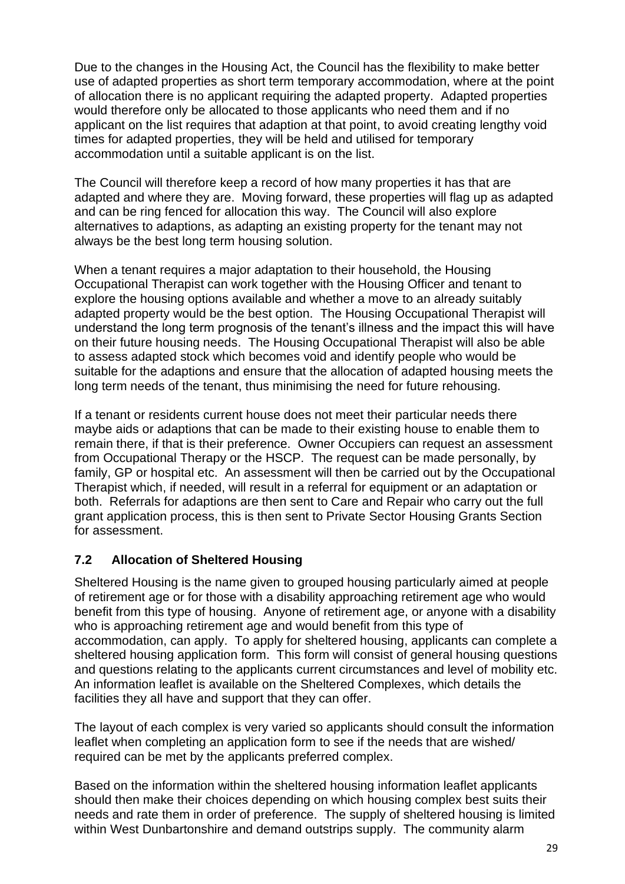Due to the changes in the Housing Act, the Council has the flexibility to make better use of adapted properties as short term temporary accommodation, where at the point of allocation there is no applicant requiring the adapted property. Adapted properties would therefore only be allocated to those applicants who need them and if no applicant on the list requires that adaption at that point, to avoid creating lengthy void times for adapted properties, they will be held and utilised for temporary accommodation until a suitable applicant is on the list.

The Council will therefore keep a record of how many properties it has that are adapted and where they are. Moving forward, these properties will flag up as adapted and can be ring fenced for allocation this way. The Council will also explore alternatives to adaptions, as adapting an existing property for the tenant may not always be the best long term housing solution.

When a tenant requires a major adaptation to their household, the Housing Occupational Therapist can work together with the Housing Officer and tenant to explore the housing options available and whether a move to an already suitably adapted property would be the best option. The Housing Occupational Therapist will understand the long term prognosis of the tenant's illness and the impact this will have on their future housing needs. The Housing Occupational Therapist will also be able to assess adapted stock which becomes void and identify people who would be suitable for the adaptions and ensure that the allocation of adapted housing meets the long term needs of the tenant, thus minimising the need for future rehousing.

If a tenant or residents current house does not meet their particular needs there maybe aids or adaptions that can be made to their existing house to enable them to remain there, if that is their preference. Owner Occupiers can request an assessment from Occupational Therapy or the HSCP. The request can be made personally, by family, GP or hospital etc. An assessment will then be carried out by the Occupational Therapist which, if needed, will result in a referral for equipment or an adaptation or both. Referrals for adaptions are then sent to Care and Repair who carry out the full grant application process, this is then sent to Private Sector Housing Grants Section for assessment.

# **7.2 Allocation of Sheltered Housing**

Sheltered Housing is the name given to grouped housing particularly aimed at people of retirement age or for those with a disability approaching retirement age who would benefit from this type of housing. Anyone of retirement age, or anyone with a disability who is approaching retirement age and would benefit from this type of accommodation, can apply. To apply for sheltered housing, applicants can complete a sheltered housing application form. This form will consist of general housing questions and questions relating to the applicants current circumstances and level of mobility etc. An information leaflet is available on the Sheltered Complexes, which details the facilities they all have and support that they can offer.

The layout of each complex is very varied so applicants should consult the information leaflet when completing an application form to see if the needs that are wished/ required can be met by the applicants preferred complex.

Based on the information within the sheltered housing information leaflet applicants should then make their choices depending on which housing complex best suits their needs and rate them in order of preference. The supply of sheltered housing is limited within West Dunbartonshire and demand outstrips supply. The community alarm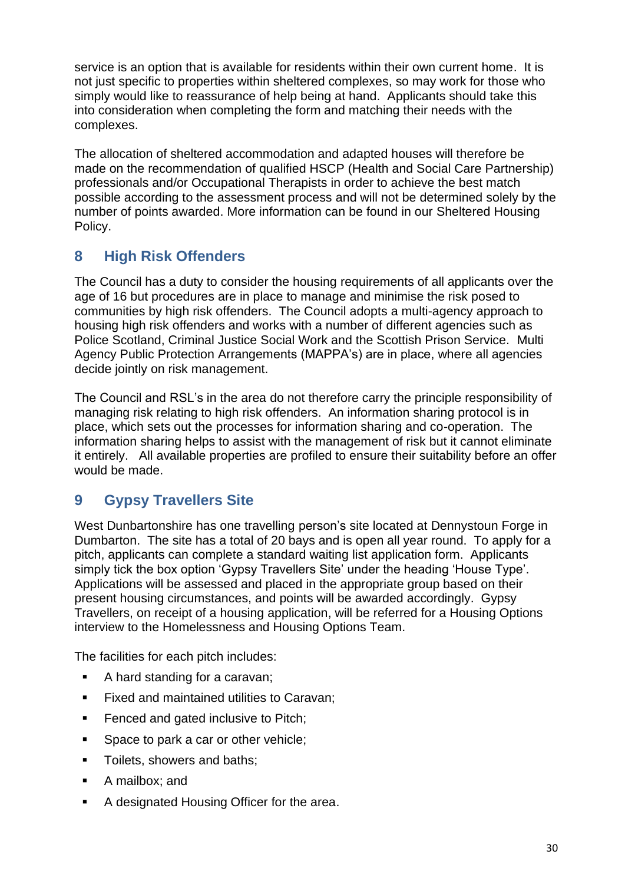service is an option that is available for residents within their own current home. It is not just specific to properties within sheltered complexes, so may work for those who simply would like to reassurance of help being at hand. Applicants should take this into consideration when completing the form and matching their needs with the complexes.

The allocation of sheltered accommodation and adapted houses will therefore be made on the recommendation of qualified HSCP (Health and Social Care Partnership) professionals and/or Occupational Therapists in order to achieve the best match possible according to the assessment process and will not be determined solely by the number of points awarded. More information can be found in our Sheltered Housing Policy.

# **8 High Risk Offenders**

The Council has a duty to consider the housing requirements of all applicants over the age of 16 but procedures are in place to manage and minimise the risk posed to communities by high risk offenders. The Council adopts a multi-agency approach to housing high risk offenders and works with a number of different agencies such as Police Scotland, Criminal Justice Social Work and the Scottish Prison Service. Multi Agency Public Protection Arrangements (MAPPA's) are in place, where all agencies decide jointly on risk management.

The Council and RSL's in the area do not therefore carry the principle responsibility of managing risk relating to high risk offenders. An information sharing protocol is in place, which sets out the processes for information sharing and co-operation. The information sharing helps to assist with the management of risk but it cannot eliminate it entirely. All available properties are profiled to ensure their suitability before an offer would be made.

# **9 Gypsy Travellers Site**

West Dunbartonshire has one travelling person's site located at Dennystoun Forge in Dumbarton. The site has a total of 20 bays and is open all year round. To apply for a pitch, applicants can complete a standard waiting list application form. Applicants simply tick the box option 'Gypsy Travellers Site' under the heading 'House Type'. Applications will be assessed and placed in the appropriate group based on their present housing circumstances, and points will be awarded accordingly. Gypsy Travellers, on receipt of a housing application, will be referred for a Housing Options interview to the Homelessness and Housing Options Team.

The facilities for each pitch includes:

- A hard standing for a caravan;
- Fixed and maintained utilities to Caravan;
- Fenced and gated inclusive to Pitch;
- Space to park a car or other vehicle;
- Toilets, showers and baths;
- A mailbox; and
- A designated Housing Officer for the area.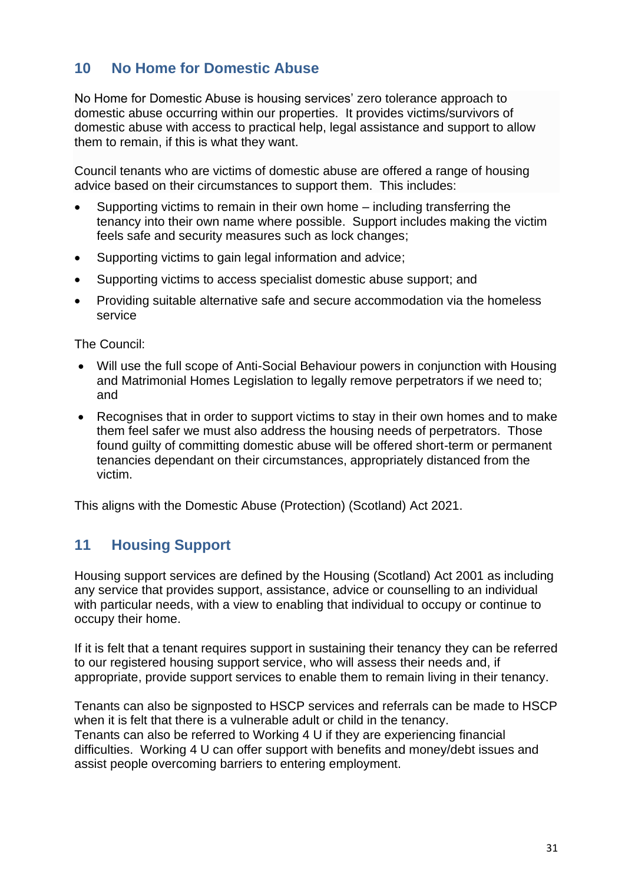# **10 No Home for Domestic Abuse**

No Home for Domestic Abuse is housing services' zero tolerance approach to domestic abuse occurring within our properties. It provides victims/survivors of domestic abuse with access to practical help, legal assistance and support to allow them to remain, if this is what they want.

Council tenants who are victims of domestic abuse are offered a range of housing advice based on their circumstances to support them. This includes:

- Supporting victims to remain in their own home including transferring the tenancy into their own name where possible. Support includes making the victim feels safe and security measures such as lock changes;
- Supporting victims to gain legal information and advice;
- Supporting victims to access specialist domestic abuse support; and
- Providing suitable alternative safe and secure accommodation via the homeless service

The Council:

- Will use the full scope of Anti-Social Behaviour powers in conjunction with Housing and Matrimonial Homes Legislation to legally remove perpetrators if we need to; and
- Recognises that in order to support victims to stay in their own homes and to make them feel safer we must also address the housing needs of perpetrators. Those found guilty of committing domestic abuse will be offered short-term or permanent tenancies dependant on their circumstances, appropriately distanced from the victim.

This aligns with the Domestic Abuse (Protection) (Scotland) Act 2021.

# **11 Housing Support**

Housing support services are defined by the Housing (Scotland) Act 2001 as including any service that provides support, assistance, advice or counselling to an individual with particular needs, with a view to enabling that individual to occupy or continue to occupy their home.

If it is felt that a tenant requires support in sustaining their tenancy they can be referred to our registered housing support service, who will assess their needs and, if appropriate, provide support services to enable them to remain living in their tenancy.

Tenants can also be signposted to HSCP services and referrals can be made to HSCP when it is felt that there is a vulnerable adult or child in the tenancy. Tenants can also be referred to Working 4 U if they are experiencing financial difficulties. Working 4 U can offer support with benefits and money/debt issues and assist people overcoming barriers to entering employment.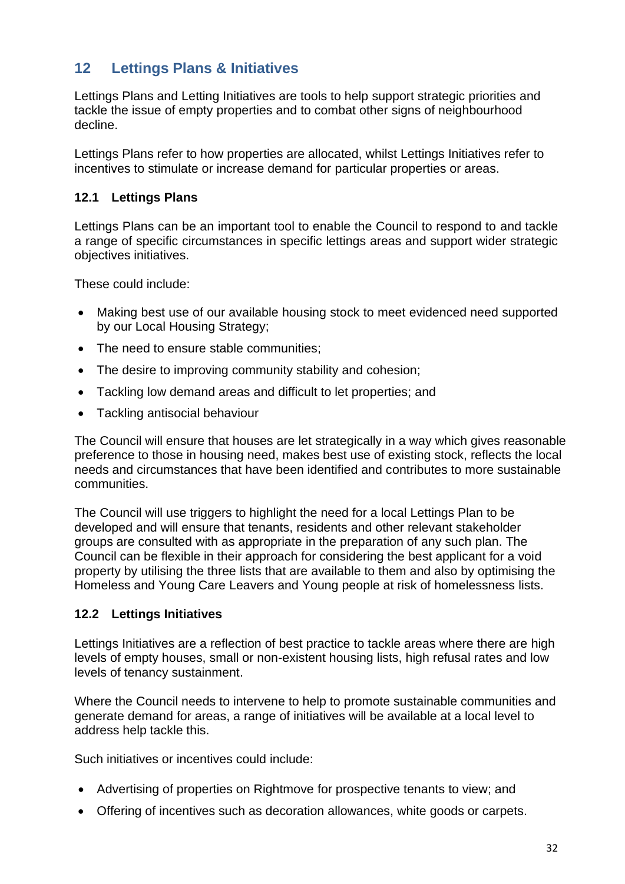# **12 Lettings Plans & Initiatives**

Lettings Plans and Letting Initiatives are tools to help support strategic priorities and tackle the issue of empty properties and to combat other signs of neighbourhood decline.

Lettings Plans refer to how properties are allocated, whilst Lettings Initiatives refer to incentives to stimulate or increase demand for particular properties or areas.

## **12.1 Lettings Plans**

Lettings Plans can be an important tool to enable the Council to respond to and tackle a range of specific circumstances in specific lettings areas and support wider strategic objectives initiatives.

These could include:

- Making best use of our available housing stock to meet evidenced need supported by our Local Housing Strategy;
- The need to ensure stable communities;
- The desire to improving community stability and cohesion;
- Tackling low demand areas and difficult to let properties; and
- Tackling antisocial behaviour

The Council will ensure that houses are let strategically in a way which gives reasonable preference to those in housing need, makes best use of existing stock, reflects the local needs and circumstances that have been identified and contributes to more sustainable communities.

The Council will use triggers to highlight the need for a local Lettings Plan to be developed and will ensure that tenants, residents and other relevant stakeholder groups are consulted with as appropriate in the preparation of any such plan. The Council can be flexible in their approach for considering the best applicant for a void property by utilising the three lists that are available to them and also by optimising the Homeless and Young Care Leavers and Young people at risk of homelessness lists.

#### **12.2 Lettings Initiatives**

Lettings Initiatives are a reflection of best practice to tackle areas where there are high levels of empty houses, small or non-existent housing lists, high refusal rates and low levels of tenancy sustainment.

Where the Council needs to intervene to help to promote sustainable communities and generate demand for areas, a range of initiatives will be available at a local level to address help tackle this.

Such initiatives or incentives could include:

- Advertising of properties on Rightmove for prospective tenants to view; and
- Offering of incentives such as decoration allowances, white goods or carpets.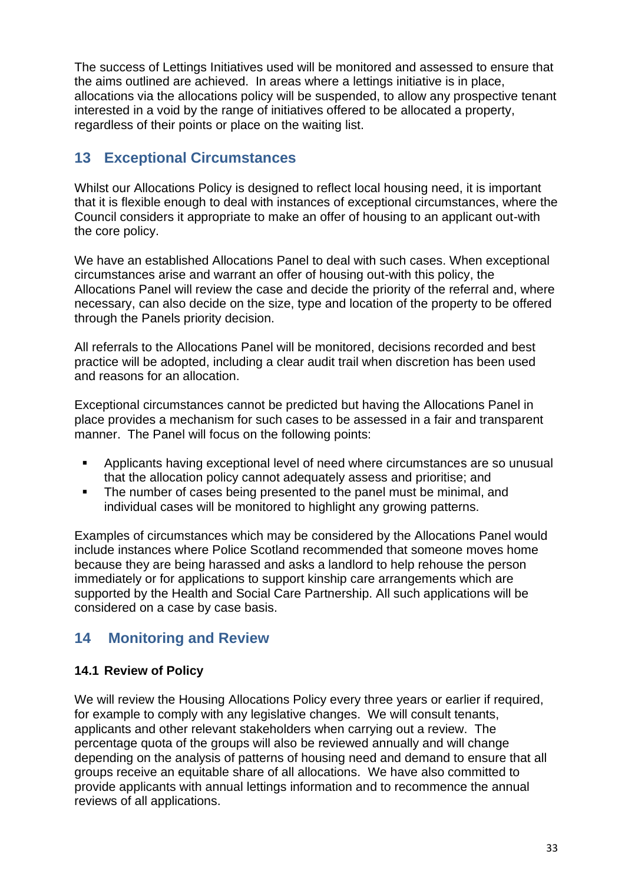The success of Lettings Initiatives used will be monitored and assessed to ensure that the aims outlined are achieved. In areas where a lettings initiative is in place, allocations via the allocations policy will be suspended, to allow any prospective tenant interested in a void by the range of initiatives offered to be allocated a property, regardless of their points or place on the waiting list.

# **13 Exceptional Circumstances**

Whilst our Allocations Policy is designed to reflect local housing need, it is important that it is flexible enough to deal with instances of exceptional circumstances, where the Council considers it appropriate to make an offer of housing to an applicant out-with the core policy.

We have an established Allocations Panel to deal with such cases. When exceptional circumstances arise and warrant an offer of housing out-with this policy, the Allocations Panel will review the case and decide the priority of the referral and, where necessary, can also decide on the size, type and location of the property to be offered through the Panels priority decision.

All referrals to the Allocations Panel will be monitored, decisions recorded and best practice will be adopted, including a clear audit trail when discretion has been used and reasons for an allocation.

Exceptional circumstances cannot be predicted but having the Allocations Panel in place provides a mechanism for such cases to be assessed in a fair and transparent manner. The Panel will focus on the following points:

- Applicants having exceptional level of need where circumstances are so unusual that the allocation policy cannot adequately assess and prioritise; and
- The number of cases being presented to the panel must be minimal, and individual cases will be monitored to highlight any growing patterns.

Examples of circumstances which may be considered by the Allocations Panel would include instances where Police Scotland recommended that someone moves home because they are being harassed and asks a landlord to help rehouse the person immediately or for applications to support kinship care arrangements which are supported by the Health and Social Care Partnership. All such applications will be considered on a case by case basis.

# **14 Monitoring and Review**

#### **14.1 Review of Policy**

We will review the Housing Allocations Policy every three years or earlier if required, for example to comply with any legislative changes. We will consult tenants, applicants and other relevant stakeholders when carrying out a review. The percentage quota of the groups will also be reviewed annually and will change depending on the analysis of patterns of housing need and demand to ensure that all groups receive an equitable share of all allocations. We have also committed to provide applicants with annual lettings information and to recommence the annual reviews of all applications.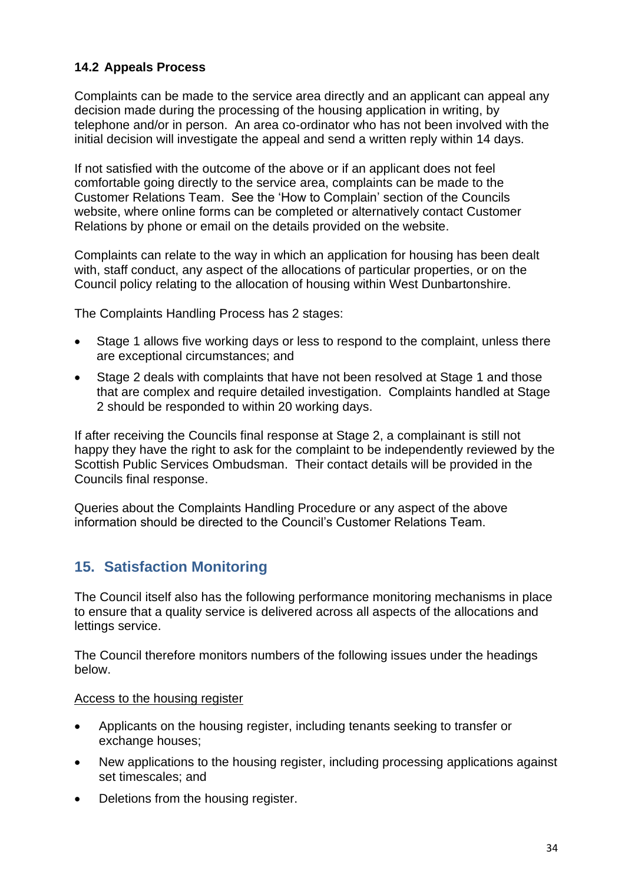# **14.2 Appeals Process**

Complaints can be made to the service area directly and an applicant can appeal any decision made during the processing of the housing application in writing, by telephone and/or in person. An area co-ordinator who has not been involved with the initial decision will investigate the appeal and send a written reply within 14 days.

If not satisfied with the outcome of the above or if an applicant does not feel comfortable going directly to the service area, complaints can be made to the Customer Relations Team. See the 'How to Complain' section of the Councils website, where online forms can be completed or alternatively contact Customer Relations by phone or email on the details provided on the website.

Complaints can relate to the way in which an application for housing has been dealt with, staff conduct, any aspect of the allocations of particular properties, or on the Council policy relating to the allocation of housing within West Dunbartonshire.

The Complaints Handling Process has 2 stages:

- Stage 1 allows five working days or less to respond to the complaint, unless there are exceptional circumstances; and
- Stage 2 deals with complaints that have not been resolved at Stage 1 and those that are complex and require detailed investigation. Complaints handled at Stage 2 should be responded to within 20 working days.

If after receiving the Councils final response at Stage 2, a complainant is still not happy they have the right to ask for the complaint to be independently reviewed by the Scottish Public Services Ombudsman. Their contact details will be provided in the Councils final response.

Queries about the Complaints Handling Procedure or any aspect of the above information should be directed to the Council's Customer Relations Team.

# **15. Satisfaction Monitoring**

The Council itself also has the following performance monitoring mechanisms in place to ensure that a quality service is delivered across all aspects of the allocations and lettings service.

The Council therefore monitors numbers of the following issues under the headings below.

#### Access to the housing register

- Applicants on the housing register, including tenants seeking to transfer or exchange houses;
- New applications to the housing register, including processing applications against set timescales; and
- Deletions from the housing register.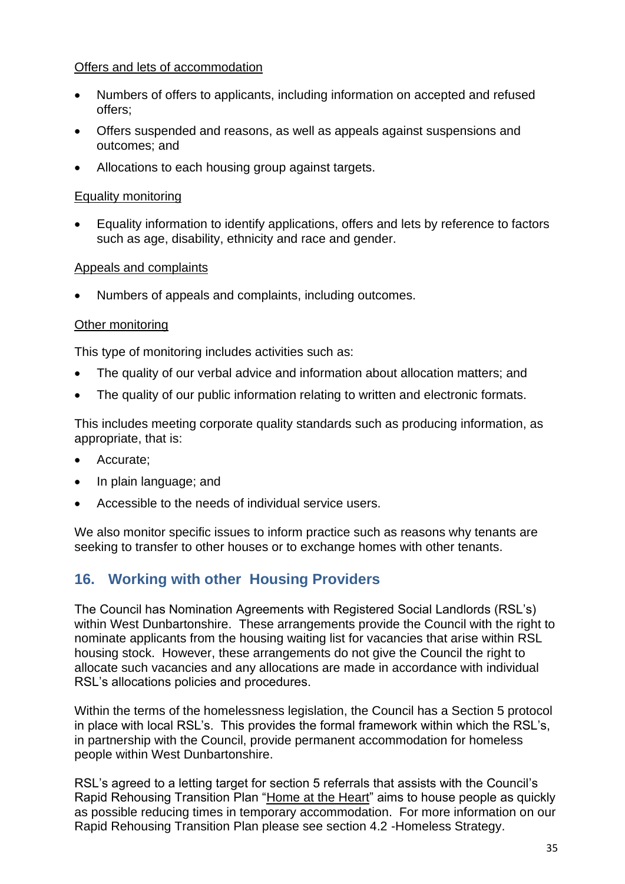#### Offers and lets of accommodation

- Numbers of offers to applicants, including information on accepted and refused offers;
- Offers suspended and reasons, as well as appeals against suspensions and outcomes; and
- Allocations to each housing group against targets.

#### Equality monitoring

• Equality information to identify applications, offers and lets by reference to factors such as age, disability, ethnicity and race and gender.

## Appeals and complaints

• Numbers of appeals and complaints, including outcomes.

# Other monitoring

This type of monitoring includes activities such as:

- The quality of our verbal advice and information about allocation matters; and
- The quality of our public information relating to written and electronic formats.

This includes meeting corporate quality standards such as producing information, as appropriate, that is:

- Accurate;
- In plain language; and
- Accessible to the needs of individual service users.

We also monitor specific issues to inform practice such as reasons why tenants are seeking to transfer to other houses or to exchange homes with other tenants.

# **16. Working with other Housing Providers**

The Council has Nomination Agreements with Registered Social Landlords (RSL's) within West Dunbartonshire. These arrangements provide the Council with the right to nominate applicants from the housing waiting list for vacancies that arise within RSL housing stock. However, these arrangements do not give the Council the right to allocate such vacancies and any allocations are made in accordance with individual RSL's allocations policies and procedures.

Within the terms of the homelessness legislation, the Council has a Section 5 protocol in place with local RSL's. This provides the formal framework within which the RSL's, in partnership with the Council, provide permanent accommodation for homeless people within West Dunbartonshire.

RSL's agreed to a letting target for section 5 referrals that assists with the Council's Rapid Rehousing Transition Plan ["Home at the Heart"](https://www.west-dunbarton.gov.uk/media/4317195/wdc-rapid-rehousing-transition-plan-2019-24-updated-may-2019.pdf) aims to house people as quickly as possible reducing times in temporary accommodation. For more information on our Rapid Rehousing Transition Plan please see section 4.2 -Homeless Strategy.